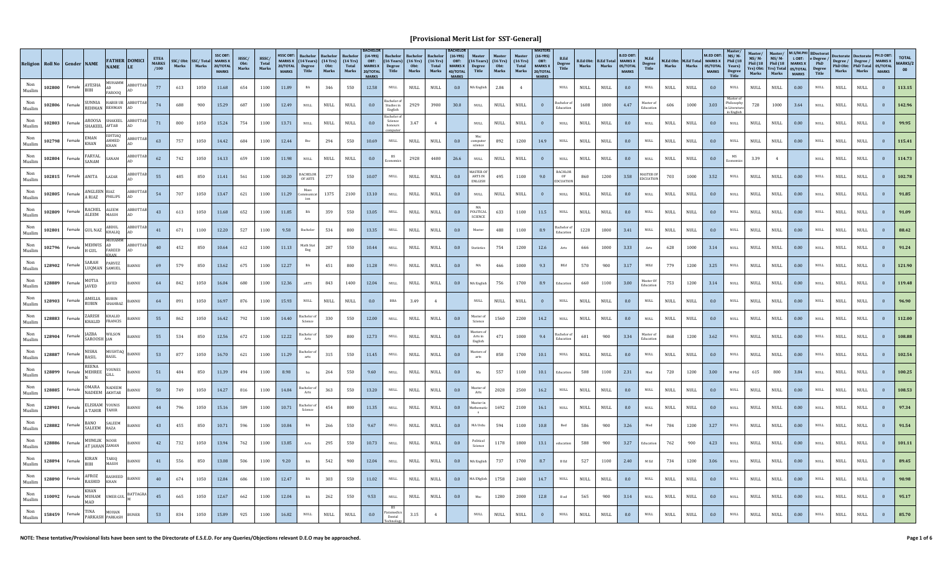|               | Religion Roll No Gender NAME |        |                               | <b>NAME</b>                            | <b>FATHER DOMICI</b>  | <b>ETEA</b><br><b>MARKS</b><br>/100 | Marks | SSC/Obt: SSC/Total<br>Marks | <b>SSC OBT</b><br><b>MARKS X</b><br>20/TOTAL<br><b>MARKS</b> | HSSC/<br>Obt:<br>Marks | HSSC/<br>Total<br>Marks | <b>HSSC OBT</b><br>20/TOTAL<br><b>MARKS</b> | MARKS X $(14 \text{ Years})$ $(14 \text{Yrs})$<br><b>Degree</b><br>Title | Obt:<br>Marks                | $(14 \text{ Yrs})$<br>Total<br>Marks | $(14-YRS)$<br>OBT:<br><b>MARKS X</b><br>20/TOTAL<br><b>MARKS</b> | $(16$ Years)<br>Degree<br>Title  | Bachelor<br>$(16 \text{ Yrs})$<br>Obt:<br>Marks | (16Yrs)<br><b>Total</b><br>Marks | $(16-YRS)$<br>OBT:<br><b>MARKS X</b><br>40/TOTAL<br><b>MARKS</b> | $(16$ Years)<br>Degree<br>Title        | $(16 \text{ Yrs})$<br>Obt:<br>Marks | <b>Master</b><br>$(16 \text{ Yrs})$<br>Total<br>Marks | $(16-YRS)$<br>OBT:<br><b>MARKS X</b><br>20/TOTAL<br><b>MARKS</b> | B.Ed<br><b>Degree</b><br>Title | Marks                        | <b>B.Ed Obt: B.Ed Total MARKS X</b><br>Marks | <b>B.ED OBT</b><br>05/TOTAL<br><b>MARKS</b> | M.Ed<br>Degree<br>Title       | Marks                        | M.Ed Obt: M.Ed Total MARKS X<br>Marks | M.FD OBT:<br>05/TOTAL<br><b>MARKS</b> | $MS/M$ -<br>Phil (18<br>Years)<br>Degree<br>Title | Master<br>$MS/M$ -<br>Phil $(18)$<br>Yrs) Obt: Yrs) Total 05/TOTAL<br>Marks | <b>Master</b><br>$MS/M$ -<br>Phil $(18)$<br>Marks | <b>M.S/M.PI</b><br>LOBT:<br>MARKS X<br><b>MARKS</b> | <b>BDoctorat</b><br>e Degree /<br>PhD<br>$\begin{array}{c} \textbf{Degree} \\ \textbf{Title} \end{array}$ | Degree / Degree / MARKS X<br>PhD Obt: PhD Total 05/TOTAL<br>Marks | Marks                        | PH.D OBT:<br><b>MARKS</b> | <b>TOTAL</b><br>MARKS/2<br>00 |
|---------------|------------------------------|--------|-------------------------------|----------------------------------------|-----------------------|-------------------------------------|-------|-----------------------------|--------------------------------------------------------------|------------------------|-------------------------|---------------------------------------------|--------------------------------------------------------------------------|------------------------------|--------------------------------------|------------------------------------------------------------------|----------------------------------|-------------------------------------------------|----------------------------------|------------------------------------------------------------------|----------------------------------------|-------------------------------------|-------------------------------------------------------|------------------------------------------------------------------|--------------------------------|------------------------------|----------------------------------------------|---------------------------------------------|-------------------------------|------------------------------|---------------------------------------|---------------------------------------|---------------------------------------------------|-----------------------------------------------------------------------------|---------------------------------------------------|-----------------------------------------------------|-----------------------------------------------------------------------------------------------------------|-------------------------------------------------------------------|------------------------------|---------------------------|-------------------------------|
| Muslin        | 102800                       | Female | AYESHA<br><b>BIBI</b>         | MUHAMM<br>AD<br>FAR000                 | ABBOTTAB              | 77                                  | 613   | 1050                        | 11.68                                                        | 654                    | 1100                    | 11.89                                       | BA                                                                       | 346                          | 550                                  | 12.58                                                            | <b>NULL</b>                      | <b>NULL</b>                                     | NULL                             | 0.0                                                              | MA English                             | 2.84                                | 4                                                     |                                                                  | $\mbox{NULL}$                  | $\ensuremath{\mathsf{NULL}}$ | $\ensuremath{\mathsf{NULL}}$                 | 0.0                                         | NULL                          | $\ensuremath{\mathsf{NULL}}$ | <b>NULL</b>                           | 0.0                                   | <b>NULL</b>                                       | $\ensuremath{\mathsf{NULL}}$                                                | $\ensuremath{\mathsf{NULL}}$                      | 0.00                                                | <b>NULL</b>                                                                                               | NULL                                                              | <b>NULL</b>                  | $\Omega$                  | 113.15                        |
| Muslim        | 102806                       | Female | UNNIA                         | <b>HABIB UR</b><br>REHMAN REHMAN       | ABBOTTAB              | 74                                  | 688   | 900                         | 15.29                                                        | 687                    | 1100                    | 12.49                                       | <b>NULL</b>                                                              | NULL                         | NULL                                 | 0.0                                                              | achelor<br>Studies in<br>English | 2929                                            | 3900                             | 30.0                                                             | <b>NULL</b>                            | <b>NULL</b>                         | <b>NULL</b>                                           | $\overline{0}$                                                   | Bachelor<br>Educatio           | 1608                         | 1800                                         | 4.47                                        | Master o<br>Education         | 606                          | 1000                                  | 3.03                                  | Master<br>Philosophy<br>in Literatur<br>in Englis | 728                                                                         | 1000                                              | 3.64                                                | <b>NULL</b>                                                                                               | <b>NULL</b>                                                       | <b>NULL</b>                  |                           | 142.96                        |
| Non<br>Muslim | 102803                       | Female | ROOSA<br>SHAKEEL              | SHAKEEL<br>AFTAB                       | <b>ABBOTTAB</b>       | 71                                  | 800   | 1050                        | 15.24                                                        | 754                    | 1100                    | 13.71                                       | NULL                                                                     | $\ensuremath{\mathsf{NULL}}$ | $\ensuremath{\mathsf{NULL}}$         | 0.0                                                              | Bachelor o<br>Science<br>honours | 3.47                                            | $\overline{4}$                   |                                                                  | $\mbox{NULL}$                          | <b>NULL</b>                         | <b>NULL</b>                                           |                                                                  | $\ensuremath{\mathsf{NULL}}$   | <b>NULL</b>                  | $\ensuremath{\mathsf{NULL}}$                 | 0.0                                         | <b>NULL</b>                   | <b>NULL</b>                  | <b>NULL</b>                           | 0.0                                   | $\ensuremath{\mathsf{NULL}}$                      | $\ensuremath{\mathsf{NULL}}$                                                | <b>NULL</b>                                       | 0.00                                                | $\mbox{NULL}$                                                                                             | $\ensuremath{\mathsf{NULL}}$                                      | <b>NULL</b>                  |                           |                               |
| Non<br>Muslim | 102798                       | Female | EMAN<br>KHAN                  | <b>SHTIAQ</b><br>AHMED<br>KHAN         | ABBOTTAB<br><b>AD</b> | 63                                  | 757   | 1050                        | 14.42                                                        | 684                    | 1100                    | 12.44                                       | Bsc                                                                      | 294                          | 550                                  | 10.69                                                            | $\mbox{NULL}$                    | <b>NULL</b>                                     | $\ensuremath{\mathsf{NULL}}$     | 0.0                                                              | Msc<br>computer<br>science             | 892                                 | 1200                                                  | 14.9                                                             | $_{\rm NULL}$                  | NULL                         | $\ensuremath{\mathsf{NULL}}$                 | 0.0                                         | <b>NULL</b>                   | $\ensuremath{\mathsf{NULL}}$ | $\mathop{\rm NULL}$                   | 0.0                                   | <b>NULL</b>                                       | <b>NULL</b>                                                                 | NULL                                              | 0.00                                                | $\mbox{NULL}$                                                                                             | NULL                                                              | <b>NULL</b>                  |                           | 115.41                        |
| Muslim        | 102804                       | Female | FARYAL<br><b>ANAM</b>         | SANAM                                  | <b>IBBOTTAB</b>       | 62                                  | 742   | 1050                        | 14.13                                                        | 659                    | 1100                    | 11.98                                       | <b>NULL</b>                                                              | <b>NULL</b>                  | <b>NULL</b>                          | 0.0                                                              |                                  | 2928                                            | 4400                             | 26.6                                                             | $\mathsf{NULL}$                        | <b>NULL</b>                         | <b>NULL</b>                                           | $\mathbf{0}$                                                     | <b>NULL</b>                    | <b>NULL</b>                  | <b>NULL</b>                                  | 0.0                                         | <b>NULL</b>                   | $\mathop{\rm NULL}$          | $\mbox{NULL}$                         | 0.0                                   | $_{\rm MS}$                                       | 3.39                                                                        | $\overline{4}$                                    |                                                     | $\mbox{\bf NULL}$                                                                                         | <b>NULL</b>                                                       | <b>NULL</b>                  | $\Omega$                  | 114.73                        |
| Muslim        | 102815                       | Female | ANITA                         | LAZAR                                  | <b>ABBOTTAB</b>       | 55                                  | 485   | 850                         | 11.41                                                        | 561                    | 1100                    | 10.20                                       | <b>BACHELOR</b><br>OF ARTS                                               | 277                          | 550                                  | 10.07                                                            | $\mathop{\rm NULL}$              | <b>NULL</b>                                     | $\ensuremath{\mathsf{NULL}}$     | 0.0                                                              | <b>MASTER OI</b><br>ARTS IN<br>ENLGISH | 495                                 | 1100                                                  | 9.0                                                              | BACHLOF<br>OF<br>EDCUATION     | 860                          | 1200                                         | 3.58                                        | <b>MASTER OF</b><br>EDCUATIO  | 703                          | 1000                                  | 3.52                                  | $\mathop{\rm NULL}$                               | <b>NULL</b>                                                                 | $\ensuremath{\mathsf{NULL}}$                      | 0.00                                                | $\mathop{\rm NULL}$                                                                                       | NULL                                                              | <b>NULL</b>                  |                           | 102.78                        |
| Muslim        | 102805                       | Female | <b>ANGLEEN RIAZ</b><br>A RIAZ | PHILIPS                                | ABBOTTAB              | 54                                  | 707   | 1050                        | 13.47                                                        | 621                    | 1100                    | 11.29                                       | mmunica<br>ion                                                           | 1375                         | 2100                                 | 13.10                                                            | <b>NULL</b>                      | <b>NULL</b>                                     | <b>NULL</b>                      | 0.0                                                              | NULL                                   | NULL                                | <b>NULL</b>                                           |                                                                  | <b>NULL</b>                    | <b>NULL</b>                  | <b>NULL</b>                                  | 0.0                                         | <b>NULL</b>                   | NULL                         | NULL                                  | 0.0                                   | <b>NULL</b>                                       | <b>NULL</b>                                                                 | <b>NULL</b>                                       | 0.00                                                | <b>NULL</b>                                                                                               | <b>NULL</b>                                                       | <b>NULL</b>                  |                           | 91.85                         |
| Non<br>Muslim | 102809                       | Female | RACHEL<br>ALEEM               | <b>ALEEM</b><br>MASIH                  | <b>ABBOTTAB</b>       | 43                                  | 613   | 1050                        | 11.68                                                        | 652                    | 1100                    | 11.85                                       | BA                                                                       | 359                          | 550                                  | 13.05                                                            | <b>NULL</b>                      | NULL                                            | <b>NULL</b>                      | 0.0                                                              | POLITICAL<br>SCIENCE                   | 633                                 | 1100                                                  | $11.5\,$                                                         | $\ensuremath{\mathsf{NULL}}$   | <b>NULL</b>                  | $\ensuremath{\mathsf{NULL}}$                 | 0.0                                         | $\rm NULL$                    | <b>NULL</b>                  | <b>NULL</b>                           | 0.0                                   | $\ensuremath{\mathsf{NULL}}$                      | <b>NULL</b>                                                                 | <b>NULL</b>                                       | 0.00                                                | $\mbox{NULL}$                                                                                             | $\ensuremath{\mathsf{NULL}}$                                      | <b>NULL</b>                  |                           |                               |
| Non<br>Muslim | 102801                       | Female | <b>GUL NAZ</b>                | ABDUL<br>KHALIQ                        | ABBOTTAB              | 41                                  | 671   | 1100                        | 12.20                                                        | 527                    | 1100                    | 9.58                                        | Bachelor                                                                 | 534                          | 800                                  | 13.35                                                            | <b>NULL</b>                      | <b>NULL</b>                                     | <b>NULL</b>                      | 0.0                                                              | Master                                 | 488                                 | 1100                                                  | 8.9                                                              | <b>Bachelor</b><br>Education   | 1228                         | 1800                                         | 3.41                                        | <b>NULL</b>                   | $\ensuremath{\mathsf{NULL}}$ | $\mathop{\rm NULL}$                   | 0.0                                   | $\mbox{NULL}$                                     | <b>NULL</b>                                                                 | $\ensuremath{\mathsf{NULL}}$                      | 0.00                                                | $\mbox{NULL}$                                                                                             | NULL                                                              | $\ensuremath{\mathsf{NULL}}$ |                           | 88.42                         |
| Muslim        | 102796                       | Female | MEHWIS<br>H GUL               | FAREED                                 | <b>BBOTTAB</b>        | 40                                  | 452   | 850                         | 10.64                                                        | 612                    | 1100                    | 11.13                                       | Math Stat<br>Eng                                                         | 287                          | 550                                  | 10.44                                                            | $\rm NULL$                       | <b>NULL</b>                                     | <b>NULL</b>                      | 0.0                                                              | <b>Statistics</b>                      | 754                                 | 1200                                                  | 12.6                                                             | Arts                           | 666                          | 1000                                         | 3.33                                        | $\operatorname{Arts}$         | 628                          | 1000                                  | 3.14                                  | <b>NULL</b>                                       | <b>NULL</b>                                                                 | <b>NULL</b>                                       | 0.00                                                | <b>NULL</b>                                                                                               | <b>NULL</b>                                                       | <b>NULL</b>                  |                           | 91.24                         |
| Muslim        | 128902                       | Female | SARAH<br>LUQMAN               | PARVEZ<br>SAMUEL                       | BANNU                 | 69                                  | 579   | 850                         | 13.62                                                        | 675                    | 1100                    | 12.27                                       | $_{\rm BA}$                                                              | 451                          | 800                                  | $11.28\,$                                                        | $\mathop{\rm NULL}$              | $\ensuremath{\mathsf{NULL}}$                    | $\ensuremath{\mathsf{NULL}}$     | $0.0\,$                                                          | $_{\rm MA}$                            | 466                                 | 1000                                                  | 9.3                                                              | $_{\rm BEd}$                   | 570                          | 900                                          | 3.17                                        | $_{\rm MEd}$                  | 779                          | 1200                                  | 3.25                                  | $\mathop{\rm NULL}$                               | <b>NULL</b>                                                                 | $\ensuremath{\mathsf{NULL}}$                      | 0.00                                                | NULL                                                                                                      | $\mathop{\rm NULL}$                                               | <b>NULL</b>                  |                           | 121.90                        |
| Muslim        | 128889                       | Female | MOTIA<br><b>IAVED</b>         | AVED                                   | BANNU                 | 64                                  | 842   | 1050                        | 16.04                                                        | 680                    | 1100                    | 12.36                                       | aRTS                                                                     | 843                          | 1400                                 | 12.04                                                            | $\rm NULL$                       | <b>NULL</b>                                     | <b>NULL</b>                      | 0.0                                                              | MA English                             | 756                                 | 1700                                                  | 8.9                                                              | Educatio                       | 660                          | 1100                                         | $3.00\,$                                    | Master <sub>0</sub>           | 753                          | 1200                                  | 3.14                                  | $\mbox{NULL}$                                     | NULL                                                                        | <b>NULL</b>                                       | 0.00                                                | <b>NULL</b>                                                                                               | <b>NULL</b>                                                       | NULL                         |                           | 119.48                        |
| Non<br>Muslim | 128903                       | Female | MELIA<br>RUBIN                | RUBIN<br><b>SHAHBA2</b>                | <b>BANNU</b>          | 64                                  | 891   | 1050                        | 16.97                                                        | 876                    | 1100                    | 15.93                                       | NULL                                                                     | <b>NULL</b>                  | NULL                                 | 0.0                                                              | $_{\rm BBA}$                     | 3.49                                            | $\overline{4}$                   |                                                                  | NULL                                   | <b>NULL</b>                         | <b>NULL</b>                                           | $\overline{0}$                                                   | $\ensuremath{\mathsf{NULL}}$   | <b>NULL</b>                  | $\mathop{\rm NULL}$                          | 0.0                                         | $\rm NULL$                    | NULL                         | <b>NULL</b>                           | 0.0                                   | $\ensuremath{\mathsf{NULL}}$                      | <b>NULL</b>                                                                 | $\ensuremath{\mathsf{NULL}}$                      | 0.00                                                | $\mbox{NULL}$                                                                                             | $\ensuremath{\mathsf{NULL}}$                                      | <b>NULL</b>                  |                           |                               |
| Non<br>Muslim | 128883                       | Female | ZARISH<br>KHALID              | KHALID<br>FRANCIS                      | BANNU                 | 55                                  | 862   | 1050                        | 16.42                                                        | 792                    | 1100                    | 14.40                                       | achelor<br>Science                                                       | 330                          | 550                                  | 12.00                                                            | <b>NULL</b>                      | <b>NULL</b>                                     | $\ensuremath{\mathsf{NULL}}$     | 0.0                                                              | Master o<br>Science                    | 1560                                | 2200                                                  | 14.2                                                             | $_{\rm NULL}$                  | NULL                         | $\ensuremath{\mathsf{NULL}}$                 | 0.0                                         | <b>NULL</b>                   | $\ensuremath{\mathsf{NULL}}$ | $\mathop{\rm NULL}$                   | 0.0                                   | <b>NULL</b>                                       | $\ensuremath{\mathsf{NULL}}$                                                | $\ensuremath{\mathsf{NULL}}$                      | 0.00                                                | $\mbox{NULL}$                                                                                             | NULL                                                              | <b>NULL</b>                  |                           | 112.00                        |
| Muslim        | 128904                       | Female | <b>AZBA</b><br>SAROOSH        | WILSON                                 | <b>BANNII</b>         | 55                                  | 534   | 850                         | 12.56                                                        | 672                    | 1100                    | 12.22                                       | achelor o<br>Arts                                                        | 509                          | 800                                  | 12.73                                                            | $\rm NULL$                       | <b>NULL</b>                                     | $\ensuremath{\mathsf{NULL}}$     | 0.0                                                              | Masters o<br>Arts in<br>English        | 471                                 | 1000                                                  | 9.4                                                              | achelor c                      | 601                          | 900                                          | 3.34                                        | faster o                      | 868                          | 1200                                  | 3.62                                  | <b>NULL</b>                                       | <b>NULL</b>                                                                 | $\ensuremath{\mathsf{NULL}}$                      | 0.00                                                | <b>NULL</b>                                                                                               | <b>NULL</b>                                                       | <b>NULL</b>                  |                           | 108.88                        |
| Muslim        | 128887                       | Female | NISHA<br>BASIL                | MUSHTAQ<br>BASIL                       | BANNU                 | 53                                  | 877   | 1050                        | 16.70                                                        | 621                    | 1100                    | 11.29                                       | Bachelor of<br>arts                                                      | 315                          | 550                                  | 11.45                                                            | $\mathop{\rm NULL}$              | $\ensuremath{\mathsf{NULL}}$                    | $\ensuremath{\mathsf{NULL}}$     | 0.0                                                              | Masters o<br>arts                      | 858                                 | 1700                                                  | 10.1                                                             | $\mbox{NULL}$                  | $\ensuremath{\mathsf{NULL}}$ | $\ensuremath{\mathsf{NULL}}$                 | 0.0                                         | $\ensuremath{\mathsf{NULL}}$  | $\ensuremath{\mathsf{NULL}}$ | $\mathop{\rm NULL}$                   | 0.0                                   | $\mathop{\rm NULL}$                               | <b>NULL</b>                                                                 | $\ensuremath{\mathsf{NULL}}$                      | 0.00                                                | <b>NULL</b>                                                                                               | $\mathop{\rm NULL}$                                               | <b>NULL</b>                  |                           | 102.54                        |
| Muslim        | 128899                       | Female | <b>REENA</b><br><b>MEHREE</b> | YOUNES                                 | BANNU                 | 51                                  | 484   | 850                         | 11.39                                                        | 494                    | 1100                    | 8.98                                        | ba                                                                       | 264                          | 550                                  | 9.60                                                             | $\mathop{\rm NULL}$              | <b>NULL</b>                                     | <b>NULL</b>                      | 0.0                                                              | Ma                                     | 557                                 | 1100                                                  | $10.1\,$                                                         | ducatio                        | 508                          | 1100                                         | 2.31                                        | $\operatorname{\mathsf{Med}}$ | 720                          | 1200                                  | 3.00                                  | M Phil                                            | 615                                                                         | 800                                               | 3.84                                                | $\mbox{NULL}$                                                                                             | <b>NULL</b>                                                       | <b>NULL</b>                  |                           | 100.25                        |
| Non<br>Muslim | 128885                       | Female | <b>MARA</b><br>NADEEM         | <b>NADEEM</b><br>AKHTAR                | ANNU                  | 50                                  | 749   | 1050                        | 14.27                                                        | 816                    | 1100                    | 14.84                                       | achelor o<br>Arts                                                        | 363                          | 550                                  | 13.20                                                            | $\rm NULL$                       | NULL                                            | $\ensuremath{\mathsf{NULL}}$     | 0.0                                                              | Master o<br>Arts                       | 2028                                | 2500                                                  | 16.2                                                             | $\mathop{\rm NULL}$            | <b>NULL</b>                  | $\mathop{\rm NULL}$                          | 0.0                                         | <b>NULL</b>                   | <b>NULL</b>                  | <b>NULL</b>                           | 0.0                                   | $\ensuremath{\mathsf{NULL}}$                      | <b>NULL</b>                                                                 | $\ensuremath{\mathsf{NULL}}$                      | 0.00                                                | <b>NULL</b>                                                                                               | <b>NULL</b>                                                       | <b>NULL</b>                  |                           | 108.53                        |
| Non<br>Muslim | 128901                       | Female | <b>TAHIR</b>                  | ELISHAM YOUNIS<br><b>TAHIR</b>         | BANNU                 | 44                                  | 796   | 1050                        | 15.16                                                        | 589                    | 1100                    | 10.71                                       | achelor o<br>Science                                                     | 454                          | 800                                  | 11.35                                                            | <b>NULL</b>                      | <b>NULL</b>                                     | $\ensuremath{\mathsf{NULL}}$     | 0.0                                                              | Master in<br>Mathemati                 | 1692                                | 2100                                                  | 16.1                                                             | <b>NULL</b>                    | NULL                         | $\ensuremath{\mathsf{NULL}}$                 | 0.0                                         | <b>NULL</b>                   | $\ensuremath{\mathsf{NULL}}$ | $\mathop{\rm NULL}$                   | 0.0                                   | <b>NULL</b>                                       | <b>NULL</b>                                                                 | $\ensuremath{\mathsf{NULL}}$                      | 0.00                                                | <b>NULL</b>                                                                                               | NULL                                                              | <b>NULL</b>                  |                           | 97.34                         |
| Non<br>Muslim | 128882                       | Female | BANO<br>SALEEM                | ALEEM<br>RAZA                          | BANNU                 | 43                                  | 455   | 850                         | 10.71                                                        | 596                    | 1100                    | 10.84                                       | BA                                                                       | 266                          | 550                                  | 9.67                                                             | <b>NULL</b>                      | <b>NULL</b>                                     | <b>NULL</b>                      | 0.0                                                              | MA Urdu                                | 594                                 | 1100                                                  | 10.8                                                             | Bed                            | 586                          | 900                                          | 3.26                                        | Med                           | 784                          | 1200                                  | 3.27                                  | <b>NULL</b>                                       | <b>NULL</b>                                                                 | <b>NULL</b>                                       | 0.00                                                | <b>NULL</b>                                                                                               | NULL                                                              | <b>NULL</b>                  |                           | 91.54                         |
| Muslin        | 128886                       | Female | MUMLIK NOOR                   | AT JAHAN ZAMAN                         | BANNU                 | 42                                  | 732   | 1050                        | 13.94                                                        | 762                    | 1100                    | 13.85                                       | Arts                                                                     | 295                          | 550                                  | 10.73                                                            | $\mathop{\rm NULL}$              | $\ensuremath{\mathsf{NULL}}$                    | $\ensuremath{\mathsf{NULL}}$     | 0.0                                                              | Political<br>Science                   | 1178                                | 1800                                                  | 13.1                                                             | education                      | 588                          | 900                                          | 3.27                                        | Education                     | 762                          | 900                                   | 4.23                                  | $\mathop{\rm NULL}$                               | <b>NULL</b>                                                                 | <b>NULL</b>                                       | 0.00                                                | $\mathop{\rm NULL}$                                                                                       | $\mathop{\rm NULL}$                                               | <b>NULL</b>                  |                           | 101.11                        |
| Muslim        | 128894                       | Female | <b>KIRAN</b>                  | TARIO<br>MASIH                         | BANNU                 | 41                                  | 556   | 850                         | 13.08                                                        | 506                    | 1100                    | 9.20                                        | BA                                                                       | 542                          | 900                                  | 12.04                                                            | $\mathop{\rm NULL}$              | <b>NULL</b>                                     | <b>NULL</b>                      | 0.0                                                              | MA English                             | 737                                 | 1700                                                  | 8.7                                                              | $\,$ B $\,$ Ed $\,$            | 527                          | 1100                                         | 2.40                                        | $\mathbb M$ Ed                | 734                          | 1200                                  | 3.06                                  | $\ensuremath{\mathsf{NULL}}$                      | <b>NULL</b>                                                                 | <b>NULL</b>                                       | 0.00                                                | $\mbox{NULL}$                                                                                             | <b>NULL</b>                                                       | <b>NULL</b>                  |                           | 89.45                         |
| Non<br>Muslim | 128890                       | Female | AFROZ<br><b>RASHID</b>        | RASHEED<br>KHAN                        | <b>BANNU</b>          | 40                                  | 674   | 1050                        | 12.84                                                        | 686                    | 1100                    | 12.47                                       | BA                                                                       | 303                          | 550                                  | 11.02                                                            | $\rm NULL$                       | <b>NULL</b>                                     | $\ensuremath{\mathsf{NULL}}$     | 0.0                                                              | <b>MA ENglis</b>                       | 1758                                | 2400                                                  | 14.7                                                             | $\mathop{\rm NULL}$            | <b>NULL</b>                  | <b>NULL</b>                                  | 0.0                                         | <b>NULL</b>                   | <b>NULL</b>                  | <b>NULL</b>                           | 0.0                                   | $\ensuremath{\mathsf{NULL}}$                      | <b>NULL</b>                                                                 | <b>NULL</b>                                       | 0.00                                                | <b>NULL</b>                                                                                               | NULL                                                              | <b>NULL</b>                  |                           |                               |
| Non<br>Muslim | 110092                       | Female | <b>KHAN</b><br>MUHAM<br>MAD   | MER GUL                                | <b>BATTAGRA</b>       | 45                                  | 665   | 1050                        | 12.67                                                        | 662                    | 1100                    | 12.04                                       | BA                                                                       | 262                          | 550                                  | 9.53                                                             | <b>NULL</b>                      | <b>NULL</b>                                     | $\ensuremath{\mathsf{NULL}}$     | 0.0                                                              | Msc                                    | 1280                                | 2000                                                  | 12.8                                                             | B ed                           | 565                          | 900                                          | 3.14                                        | <b>NULL</b>                   | NULL                         | <b>NULL</b>                           | 0.0                                   | <b>NULL</b>                                       | <b>NULL</b>                                                                 | $\ensuremath{\mathsf{NULL}}$                      | 0.00                                                | <b>NULL</b>                                                                                               | NULL                                                              | $\ensuremath{\mathsf{NULL}}$ |                           | 95.17                         |
| Muslim        | 158459                       | Female | TINA                          | <b>40HAN</b><br><b>PARKASH PARKASH</b> | <b>SUNER</b>          | 53                                  | 834   | 1050                        | 15.89                                                        | 925                    | 1100                    | 16.82                                       |                                                                          | <b>NULL</b>                  | <b>NULL</b>                          | 0.0                                                              |                                  | 3.15                                            |                                  |                                                                  | <b>NULL</b>                            | NULL.                               | <b>NULL</b>                                           |                                                                  |                                | NIJLI                        | <b>NULL</b>                                  | 0.0                                         | <b>NULL</b>                   | NULL.                        | NULL.                                 | 0.0                                   | <b>NULL</b>                                       | NIJLL                                                                       | <b>NULL</b>                                       | 0.00                                                | <b>NULL</b>                                                                                               | NULL.                                                             | NULI                         |                           |                               |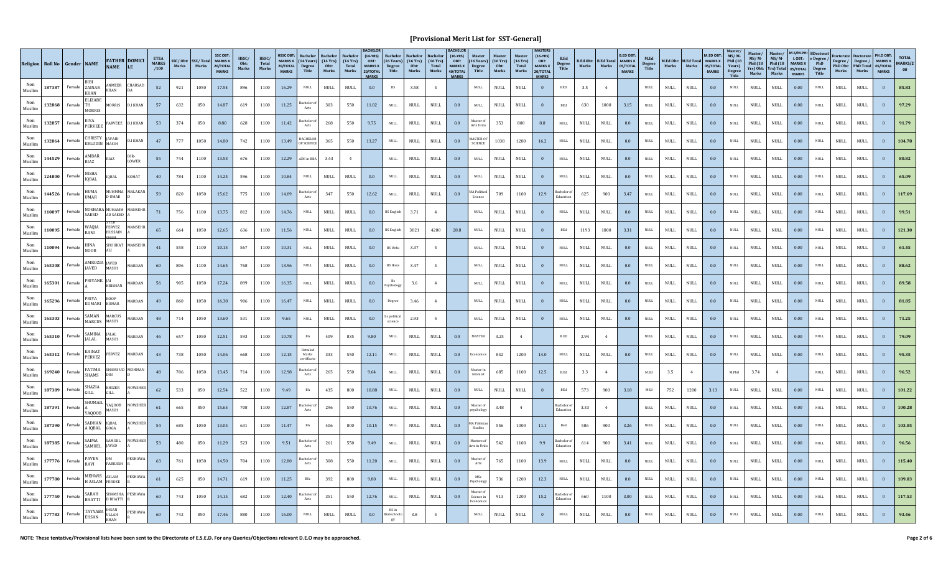|               | Religion Roll No Gender NAME |        |                                 | <b>NAME</b>                         | <b>FATHER DOMICI</b><br>LE | <b>ETEA</b><br><b>MARKS</b><br>/100 | Marks | SSC/Obt: SSC/Total MARKS X<br>Marks | <b>SSC OBT</b><br>20/TOTAL<br><b>MARKS</b> | HSSC/<br>$\mathbf{Obt}$ :<br>Marks | HSSC/<br>Total<br>Marks | <b>HSSC OBT</b><br>20/TOTAL<br><b>MARKS</b> | MARKS X (14 Years) (14 Yrs)<br><b>Degree</b><br>Title | Obt:<br>Marks                | $(14 \text{ Yrs})$<br>Total<br>Marks | $(14-YRS)$<br>OBT:<br><b>MARKS X</b><br>20/TOTAL<br><b>MARKS</b> | $(16$ Years)<br>Degree<br>Title | Bachelor<br>$(16 \text{ Yrs})$<br>Obt:<br>Marks | $(16 \text{ Yrs})$<br>Total<br>Marks | $(16-YRS)$<br>OBT:<br><b>MARKS X</b><br>40/TOTAL<br><b>MARKS</b> | Degree<br>Title                   | $(16 \text{ Years})$ $(16 \text{ Yrs})$<br>Obt:<br>Marks | <b>Master</b><br>$(16 \text{ Yrs})$<br>Total<br>Marks | $(16-YRS)$<br>OBT:<br><b>MARKS X</b><br>20/TOTAL<br><b>MARKS</b> | <b>B.Ed</b><br><b>Degree</b><br>Title | Marks                        | <b>B.Ed Obt: B.Ed Total MARKS X</b><br>Marks | <b>B.ED OBT</b><br>05/TOTAL<br><b>MARKS</b> | M.Ed<br>Degree<br>Title | Marks                        | M.Ed Obt: M.Ed Total MARKS X<br>Marks | M.ED OBT:<br>05/TOTAL<br><b>MARKS</b> | MS/M<br><b>Phil</b> (18<br>Years)<br>Degree<br>Title | Master/<br>$MS/M$ -<br>Phil $(18$<br>Marks | Master,<br>$MS/M -$<br>Phil $(18)$<br>Yrs) Obt: Yrs) Total 05/TOTAL<br>Marks | <b>M.S/M.PI</b><br>LOBT:<br>MARKS X<br><b>MARKS</b> | <b>BDoctorat</b><br>e Degree /<br>PhD<br><b>Degree</b><br>Title | Marks                        | Degree / Degree / MARKS X<br>PhD Obt: PhD Total 05/TOTAL<br>Marks | PH.D OBT:<br><b>MARKS</b> | <b>TOTAL</b><br>MARKS/2<br>00 |
|---------------|------------------------------|--------|---------------------------------|-------------------------------------|----------------------------|-------------------------------------|-------|-------------------------------------|--------------------------------------------|------------------------------------|-------------------------|---------------------------------------------|-------------------------------------------------------|------------------------------|--------------------------------------|------------------------------------------------------------------|---------------------------------|-------------------------------------------------|--------------------------------------|------------------------------------------------------------------|-----------------------------------|----------------------------------------------------------|-------------------------------------------------------|------------------------------------------------------------------|---------------------------------------|------------------------------|----------------------------------------------|---------------------------------------------|-------------------------|------------------------------|---------------------------------------|---------------------------------------|------------------------------------------------------|--------------------------------------------|------------------------------------------------------------------------------|-----------------------------------------------------|-----------------------------------------------------------------|------------------------------|-------------------------------------------------------------------|---------------------------|-------------------------------|
| Muslim        | 187387                       | Female | ZAINAB<br>KHAN                  | ANMEER<br>KHAN                      | CHARSAD                    | 52                                  | 921   | 1050                                | 17.54                                      | 896                                | 1100                    | 16.29                                       | <b>NULL</b>                                           | $\ensuremath{\mathsf{NULL}}$ | $\ensuremath{\mathsf{NULL}}$         | 0.0                                                              | $_{\rm BS}$                     | 3.58                                            | $\overline{4}$                       |                                                                  | $\mathop{\rm NULL}$               | NULL                                                     | NULL                                                  | $\bf{0}$                                                         | <b>BED</b>                            | 3.5                          | 4                                            |                                             | NULL                    | $\ensuremath{\mathsf{NULL}}$ | <b>NULL</b>                           | 0.0                                   | <b>NULL</b>                                          | $\ensuremath{\mathsf{NULL}}$               | <b>NULL</b>                                                                  | 0.00                                                | <b>NULL</b>                                                     | NULL                         | <b>NULL</b>                                                       |                           | 85.83                         |
| Muslim        | 132868                       | Female | <b>ELIZABE</b><br><b>AORRIS</b> | MORRIS                              | <b>D.I KHAN</b>            | 57                                  | 632   | 850                                 | 14.87                                      | 619                                | 1100                    | 11.25                                       | achelor o<br>Arts                                     | 303                          | 550                                  | 11.02                                                            | <b>NULL</b>                     | <b>NULL</b>                                     | <b>NULL</b>                          | 0.0                                                              | $\mathop{\rm NULL}$               | NULL                                                     | <b>NULL</b>                                           | $\overline{0}$                                                   | BEd                                   | 630                          | 1000                                         | 3.15                                        | NULL                    | NULL                         | <b>NULL</b>                           | 0.0                                   | <b>NULL</b>                                          | <b>NULL</b>                                | <b>NULL</b>                                                                  | 0.00                                                | <b>NULL</b>                                                     | NULL                         | <b>NULL</b>                                                       |                           | 97.29                         |
| Non<br>Muslim | 132857                       | Female | <b>EIVA</b><br>PERVEEZ          | ARVEEZ                              | <b>D.I KHAN</b>            | 53                                  | 374   | 850                                 | 8.80                                       | 628                                | 1100                    | 11.42                                       | achelor o<br>Arts                                     | 268                          | 550                                  | 9.75                                                             | $\mathop{\rm NULL}$             | NULL                                            | <b>NULL</b>                          | 0.0                                                              | Master o<br>Arts Urdu             | 353                                                      | 800                                                   | $\bf 8.8$                                                        | $\ensuremath{\mathsf{NULL}}$          | <b>NULL</b>                  | $\ensuremath{\mathsf{NULL}}$                 | 0.0                                         | NULL                    | <b>NULL</b>                  | <b>NULL</b>                           | 0.0                                   | $\ensuremath{\mathsf{NULL}}$                         | <b>NULL</b>                                | <b>NULL</b>                                                                  | 0.00                                                | $\mbox{NULL}$                                                   | $\ensuremath{\mathsf{NULL}}$ | <b>NULL</b>                                                       |                           |                               |
| Non<br>Muslim | 132864                       | Female | <b>CHRISTY</b>                  | <b>JAVAID</b><br>KELODIN MASIH      | <b>D.I KHAN</b>            | 47                                  | 777   | 1050                                | 14.80                                      | 742                                | 1100                    | 13.49                                       | <b>BACHELOR</b><br>OF SCIENCE                         | 365                          | 550                                  | 13.27                                                            | $\rm NULL$                      | $\ensuremath{\mathsf{NULL}}$                    | <b>NULL</b>                          | 0.0                                                              | <b>MASTER O</b><br><b>SCIENCE</b> | 1038                                                     | 1280                                                  | 16.2                                                             | $\mathop{\rm NULL}$                   | NULL                         | <b>NULL</b>                                  | 0.0                                         | <b>NULL</b>             | NULL                         | <b>NULL</b>                           | 0.0                                   | <b>NULL</b>                                          | <b>NULL</b>                                | <b>NULL</b>                                                                  | 0.00                                                | $\mbox{NULL}$                                                   | NULL                         | <b>NULL</b>                                                       |                           | 104.78                        |
| Muslim        | 144529                       | Female | <b>MBAR</b>                     | RIAZ                                | LOWER                      | 55                                  | 744   | 1100                                | 13.53                                      | 676                                | 1100                    | 12.29                                       | ADE in BBA                                            | 3.43                         |                                      |                                                                  | <b>NULL</b>                     | <b>NULL</b>                                     | $\ensuremath{\mathsf{NULL}}$         | 0.0                                                              | $\mathsf{NULL}$                   | NULL                                                     | NULL                                                  | $\mathbf{0}$                                                     | $_{\rm NULL}$                         | <b>NULL</b>                  | NULL                                         | 0.0                                         | <b>NULL</b>             | $\ensuremath{\mathsf{NULL}}$ | $\mathop{\rm NULL}$                   | 0.0                                   | <b>NULL</b>                                          | <b>NULL</b>                                | $\ensuremath{\mathsf{NULL}}$                                                 | 0.00                                                | $\mbox{\bf NULL}$                                               | NULL                         | $\ensuremath{\mathsf{NULL}}$                                      |                           | 80.82                         |
| Muslim        | 124800                       | Female | NISHA<br>IQBAL                  | <b>IOBAL</b>                        | KOHAT                      | 40                                  | 784   | 1100                                | 14.25                                      | 596                                | 1100                    | 10.84                                       | <b>NULL</b>                                           | $\ensuremath{\mathsf{NULL}}$ | $\ensuremath{\mathsf{NULL}}$         | 0.0                                                              | <b>NULL</b>                     | <b>NULL</b>                                     | $\ensuremath{\mathsf{NULL}}$         | 0.0                                                              | $\mathsf{NULL}$                   | NULL                                                     | NULL                                                  | $\bf{0}$                                                         | $_{\rm NULL}$                         | $\ensuremath{\mathsf{NULL}}$ | $\ensuremath{\mathsf{NULL}}$                 | 0.0                                         | $\mathop{\rm NULL}$     | $\ensuremath{\mathsf{NULL}}$ | $\mathop{\rm NULL}$                   | 0.0                                   | $_{\rm NULL}$                                        | $\ensuremath{\mathsf{NULL}}$               | <b>NULL</b>                                                                  | 0.00                                                | $\mbox{NULL}$                                                   | NULL                         | <b>NULL</b>                                                       |                           | 65.09                         |
| Muslim        | 144526                       | Female | HUMA<br><b>IMAR</b>             | D UMAR                              | <b>NUHMMA MALAKAN</b>      | 59                                  | 820   | 1050                                | 15.62                                      | 775                                | 1100                    | 14.09                                       | achelor o<br>Arts                                     | 347                          | 550                                  | 12.62                                                            | <b>NULL</b>                     | <b>NULL</b>                                     | $\ensuremath{\mathsf{NULL}}$         | 0.0                                                              | <b>MA Politica</b><br>Science     | 709                                                      | 1100                                                  | 12.9                                                             | Bachelor<br>Educatio                  | 625                          | 900                                          | 3.47                                        | <b>NULL</b>             | $\ensuremath{\mathsf{NULL}}$ | NULL                                  | 0.0                                   | <b>NULL</b>                                          | <b>NULL</b>                                | $\ensuremath{\mathsf{NULL}}$                                                 | 0.00                                                | <b>NULL</b>                                                     | <b>NULL</b>                  | <b>NULL</b>                                                       |                           | 117.69                        |
| Non<br>Muslim | 110097                       | Female | SAEED                           | NOSHABA MUHAMM<br><b>AD SAEED</b>   | MANSEHI                    | 71                                  | 756   | 1100                                | 13.75                                      | 812                                | 1100                    | 14.76                                       | <b>NULL</b>                                           | $\ensuremath{\mathsf{NULL}}$ | $\ensuremath{\mathsf{NULL}}$         | 0.0                                                              | 3S Englis                       | 3.71                                            | $\overline{4}$                       |                                                                  | <b>NULL</b>                       | <b>NULL</b>                                              | <b>NULL</b>                                           |                                                                  | <b>NULL</b>                           | <b>NULL</b>                  | $\ensuremath{\mathsf{NULL}}$                 | 0.0                                         | <b>NULL</b>             | <b>NULL</b>                  | <b>NULL</b>                           | 0.0                                   | $\ensuremath{\mathsf{NULL}}$                         | <b>NULL</b>                                | <b>NULL</b>                                                                  | 0.00                                                | <b>NULL</b>                                                     | $\ensuremath{\mathsf{NULL}}$ | <b>NULL</b>                                                       |                           |                               |
| Non<br>Muslim | 110095                       | Female | WAQIA<br>RANI                   | <b>PERVEZ</b><br>HUSSAIN<br>нлн     | MANSEHR                    | 65                                  | 664   | 1050                                | 12.65                                      | 636                                | 1100                    | 11.56                                       | <b>NULL</b>                                           | <b>NULL</b>                  | <b>NULL</b>                          | 0.0                                                              | <b>BS</b> English               | 3021                                            | 4200                                 | 28.8                                                             | $\mathop{\rm NULL}$               | <b>NULL</b>                                              | <b>NULL</b>                                           |                                                                  | $_{\rm BEd}$                          | 1193                         | 1800                                         | 3.31                                        | <b>NULL</b>             | <b>NULL</b>                  | <b>NULL</b>                           | 0.0                                   | $\ensuremath{\mathsf{NULL}}$                         | <b>NULL</b>                                | <b>NULL</b>                                                                  | 0.00                                                | $\mbox{NULL}$                                                   | NULL                         | <b>NULL</b>                                                       |                           | 121.30                        |
| Muslim        | 110094                       | Female | HINA<br><b>NOOR</b>             | SHOUKAT<br>ALI                      | MANSEHR                    | 41                                  | 558   | 1100                                | 10.15                                      | 567                                | 1100                    | 10.31                                       | <b>NULL</b>                                           | $\ensuremath{\mathsf{NULL}}$ | NULL                                 | 0.0                                                              | <b>BS</b> Urdu                  | 3.37                                            | $\overline{4}$                       |                                                                  | $\mathsf{NULL}$                   | NULL                                                     | NULL                                                  | $\overline{0}$                                                   | $_{\rm NULL}$                         | <b>NULL</b>                  | NULL                                         | 0.0                                         | <b>NULL</b>             | $\ensuremath{\mathsf{NULL}}$ | $\mathop{\rm NULL}$                   | 0.0                                   | $_{\rm NULL}$                                        | <b>NULL</b>                                | $\ensuremath{\mathsf{NULL}}$                                                 | 0.00                                                | $\mbox{NULL}$                                                   | NULL                         | $\ensuremath{\mathsf{NULL}}$                                      |                           | 61.45                         |
| Muslim        | 165308                       | Female | <b>JAVED</b>                    | AMROZIA JAVED<br>MASIH              | MARDAN                     | 60                                  | 806   | 1100                                | 14.65                                      | 768                                | 1100                    | 13.96                                       | <b>NULL</b>                                           | $\ensuremath{\mathsf{NULL}}$ | $\ensuremath{\mathsf{NULL}}$         | 0.0                                                              | <b>BS Hons</b>                  | 3.47                                            | $\overline{4}$                       |                                                                  | $\mathsf{NULL}$                   | <b>NULL</b>                                              | NULL                                                  | $\bf{0}$                                                         | $_{\rm NULL}$                         | $\ensuremath{\mathsf{NULL}}$ | $\ensuremath{\mathsf{NULL}}$                 | 0.0                                         | $\mathop{\rm NULL}$     | $\ensuremath{\mathsf{NULL}}$ | $\mathop{\rm NULL}$                   | 0.0                                   | $_{\rm NULL}$                                        | $\ensuremath{\mathsf{NULL}}$               | <b>NULL</b>                                                                  | 0.00                                                | $\mbox{NULL}$                                                   | NULL                         | <b>NULL</b>                                                       |                           | 88.62                         |
| Muslim        | 165301                       | Female | PRIYANK JAI                     | <b>KRISHAN</b>                      | AARDAN                     | 56                                  | 905   | 1050                                | 17.24                                      | 899                                | 1100                    | 16.35                                       | <b>NULL</b>                                           | NULL                         | NULL                                 | 0.0                                                              | vcholog                         | 3.6                                             | $\overline{4}$                       |                                                                  | <b>NULL</b>                       | <b>NULL</b>                                              | <b>NULL</b>                                           |                                                                  | <b>NULL</b>                           | <b>NULL</b>                  | $\mathop{\rm NULL}$                          | 0.0                                         | <b>NULL</b>             | $\ensuremath{\mathsf{NULL}}$ | NULL                                  | 0.0                                   | <b>NULL</b>                                          | <b>NULL</b>                                | $\ensuremath{\mathsf{NULL}}$                                                 | 0.00                                                | <b>NULL</b>                                                     | $\ensuremath{\mathsf{NULL}}$ | <b>NULL</b>                                                       |                           | 89.58                         |
| Non<br>Muslim | 165296                       | Female | <b>RIYA</b><br><b>KUMARI</b>    | ROOP<br><b>KUMAR</b>                | <b>IARDAN</b>              | 49                                  | 860   | 1050                                | 16.38                                      | 906                                | 1100                    | 16.47                                       | NULL                                                  | $\ensuremath{\mathsf{NULL}}$ | $\ensuremath{\mathsf{NULL}}$         | 0.0                                                              | Degree                          | 3.46                                            | $\overline{4}$                       |                                                                  | <b>NULL</b>                       | NULL                                                     | NULL                                                  | $\overline{0}$                                                   | $\mathop{\rm NULL}$                   | NULL                         | $\ensuremath{\mathsf{NULL}}$                 | 0.0                                         | <b>NULL</b>             | $\ensuremath{\mathsf{NULL}}$ | <b>NULL</b>                           | 0.0                                   | <b>NULL</b>                                          | <b>NULL</b>                                | $\ensuremath{\mathsf{NULL}}$                                                 | 0.00                                                | <b>NULL</b>                                                     | $\ensuremath{\mathsf{NULL}}$ | $\ensuremath{\mathsf{NULL}}$                                      |                           |                               |
| Non<br>Muslim | 165303                       | Female | SAMAN<br>MARCUS                 | <b>MARCUS</b><br>MASIH              | MARDAN                     | 48                                  | 714   | 1050                                | 13.60                                      | 531                                | 1100                    | 9.65                                        | <b>NULL</b>                                           | $\mathop{\rm NULL}$          | <b>NULL</b>                          | 0.0                                                              | s politica                      | 2.93                                            |                                      |                                                                  | $\mathop{\rm NULL}$               | <b>NULL</b>                                              | <b>NULL</b>                                           |                                                                  | $\mathop{\rm NULL}$                   | <b>NULL</b>                  | $\mathop{\rm NULL}$                          | 0.0                                         | <b>NULL</b>             | <b>NULL</b>                  | <b>NULL</b>                           | 0.0                                   | $\ensuremath{\mathsf{NULL}}$                         | <b>NULL</b>                                | $\ensuremath{\mathsf{NULL}}$                                                 | 0.00                                                | $\mbox{NULL}$                                                   | NULL                         | <b>NULL</b>                                                       |                           | 71.25                         |
| Muslim        | 165310                       | Female | <b>AMINA</b><br>ALAL            | <b>JALAL</b><br>MASIH               | MARDAN                     | 46                                  | 657   | 1050                                | 12.51                                      | 593                                | 1100                    | 10.78                                       | BA                                                    | 409                          | 835                                  | 9.80                                                             | <b>NULL</b>                     | <b>NULL</b>                                     | $\ensuremath{\mathsf{NULL}}$         | 0.0                                                              | MASTER                            | 3.25                                                     | 4                                                     |                                                                  | $\, {\bf B} \, {\bf E} {\bf D}$       | 2.94                         | $\overline{4}$                               |                                             | $\mathop{\rm NULL}$     | $\ensuremath{\mathsf{NULL}}$ | $\mathop{\rm NULL}$                   | 0.0                                   | $_{\rm NULL}$                                        | $\ensuremath{\mathsf{NULL}}$               | $\ensuremath{\mathsf{NULL}}$                                                 | 0.00                                                | $\mbox{NULL}$                                                   | NULL                         | $\ensuremath{\mathsf{NULL}}$                                      |                           | 79.09                         |
| Muslim        | 165312                       | Female | KAINAT<br>PERVEZ                | PERVEZ                              | MARDAN                     | 43                                  | 738   | 1050                                | 14.06                                      | 668                                | 1100                    | 12.15                                       | Detailed<br>Marks<br>certificate                      | 333                          | 550                                  | 12.11                                                            | <b>NULL</b>                     | <b>NULL</b>                                     | $\ensuremath{\mathsf{NULL}}$         | 0.0                                                              | Economic                          | 842                                                      | 1200                                                  | 14.0                                                             | $\mathop{\rm NULL}$                   | $\ensuremath{\mathsf{NULL}}$ | $\ensuremath{\mathsf{NULL}}$                 | 0.0                                         | $\mathop{\rm NULL}$     | $\ensuremath{\mathsf{NULL}}$ | $\ensuremath{\mathsf{NULL}}$          | 0.0                                   | $\mathop{\rm NULL}$                                  | $\ensuremath{\mathsf{NULL}}$               | <b>NULL</b>                                                                  | 0.00                                                | $\mbox{NULL}$                                                   | $\mathop{\rm NULL}$          | <b>NULL</b>                                                       |                           | 95.35                         |
| Muslim        | 169240                       | Female | FATIMA<br><b>SHAMS</b>          |                                     | HAMS UD MOHMAN             | 48                                  | 706   | 1050                                | 13.45                                      | 714                                | 1100                    | 12.98                                       | 3achelor oi<br>Arts                                   | 265                          | 550                                  | 9.64                                                             | <b>NULL</b>                     | <b>NULL</b>                                     | <b>NULL</b>                          | 0.0                                                              | Master Ir<br>slamiat              | 685                                                      | 1100                                                  | 12.5                                                             | $_{\rm B. Ed}$                        | 3.3                          | $\overline{4}$                               |                                             | M.Ed                    | 3.5                          | $\mathbf{4}$                          |                                       | M.Phil                                               | 3.74                                       | $\overline{4}$                                                               |                                                     | <b>NULL</b>                                                     | NULL                         | <b>NULL</b>                                                       |                           | 96.52                         |
| Non<br>Muslim | 187389                       | Female | SHAZIA<br>GILL.                 | <b>KHIZER</b><br>GILL               | NOWSHER                    | 62                                  | 533   | 850                                 | 12.54                                      | 522                                | 1100                    | 9.49                                        |                                                       | 435                          | 800                                  | 10.88                                                            | <b>NULL</b>                     | <b>NULL</b>                                     | <b>NULL</b>                          | 0.0                                                              | NULL                              | NULL                                                     | NULL                                                  | $\overline{0}$                                                   | BEd                                   | 573                          | 900                                          | 3.18                                        |                         | 752                          | 1200                                  | 3.13                                  | <b>NULL</b>                                          | <b>NULL</b>                                | $\ensuremath{\mathsf{NULL}}$                                                 | 0.00                                                | <b>NULL</b>                                                     | $\ensuremath{\mathsf{NULL}}$ | $\ensuremath{\mathsf{NULL}}$                                      |                           | 101.22                        |
| Non<br>Muslim | 187391                       | Female | SHUMAIL<br><b>A000B</b>         | YAOOOB<br>MASIH                     | <b>NOWSHER</b>             | 61                                  | 665   | 850                                 | 15.65                                      | 708                                | 1100                    | 12.87                                       | Bachelor o<br>Arts                                    | 296                          | 550                                  | 10.76                                                            | $\mathop{\rm NULL}$             | $\ensuremath{\mathsf{NULL}}$                    | $\ensuremath{\mathsf{NULL}}$         | 0.0                                                              | Master o<br>psycholog             | 3.48                                                     | $\overline{4}$                                        |                                                                  | Bachelor<br>Educatio                  | 3.33                         | $\overline{4}$                               |                                             | $\rm NULL$              | NULL                         | <b>NULL</b>                           | 0.0                                   | $\ensuremath{\mathsf{NULL}}$                         | <b>NULL</b>                                | $\ensuremath{\mathsf{NULL}}$                                                 | 0.00                                                | $\mbox{NULL}$                                                   | NULL                         | <b>NULL</b>                                                       |                           | 100.28                        |
| Muslim        | 187390                       | Female | ADHAN<br>IOBAI                  | IQBAL<br>GOGA                       | OWSHER                     | 54                                  | 685   | 1050                                | 13.05                                      | 631                                | 1100                    | 11.47                                       | BA                                                    | 406                          | 800                                  | 10.15                                                            | $\mbox{NULL}$                   | <b>NULL</b>                                     | $\ensuremath{\mathsf{NULL}}$         | 0.0                                                              | <b>MA</b> Pakista<br>Studies      | 556                                                      | 1000                                                  | 11.1                                                             | Bed                                   | 586                          | 900                                          | 3.26                                        | $\mbox{NULL}$           | $\ensuremath{\mathsf{NULL}}$ | $\mathop{\rm NULL}$                   | 0.0                                   | $\mbox{NULL}$                                        | <b>NULL</b>                                | $\ensuremath{\mathsf{NULL}}$                                                 | 0.00                                                | <b>NULL</b>                                                     | <b>NULL</b>                  | <b>NULL</b>                                                       |                           | 103.05                        |
| Muslim        | 187385                       | Female | SAIMA<br>SAMUEL                 | SAMUEL<br><b>IAVED</b>              | NOWSHER                    | 53                                  | 480   | 850                                 | 11.29                                      | 523                                | 1100                    | 9.51                                        | achelor of<br>Arts                                    | 261                          | 550                                  | 9.49                                                             | $\rm NULL$                      | <b>NULL</b>                                     | $\ensuremath{\mathsf{NULL}}$         | 0.0                                                              | Masters o<br>Arts in Urc          | 542                                                      | 1100                                                  | 9.9                                                              | Bachelor o                            | 614                          | 900                                          | 3.41                                        | $\mathop{\rm NULL}$     | $\ensuremath{\mathsf{NULL}}$ | $\mathop{\rm NULL}$                   | 0.0                                   | $\mathop{\rm NULL}$                                  | <b>NULL</b>                                | $\ensuremath{\mathsf{NULL}}$                                                 | 0.00                                                | $\mbox{NULL}$                                                   | NULL                         | <b>NULL</b>                                                       |                           | 96.56                         |
| Muslim        | 177776                       | Female | PAVEN<br>RAVI                   | PARKASH                             | PESHAWA                    | 63                                  | 761   | 1050                                | 14.50                                      | 704                                | 1100                    | 12.80                                       | achelor o<br>Arts                                     | 308                          | 550                                  | 11.20                                                            | <b>NULL</b>                     | <b>NULL</b>                                     | <b>NULL</b>                          | 0.0                                                              | Master of<br>Arts                 | 765                                                      | 1100                                                  | 13.9                                                             | <b>NULL</b>                           | <b>NULL</b>                  | $\mathop{\rm NULL}$                          | 0.0                                         | <b>NULL</b>             | NULL                         | NULL                                  | 0.0                                   | <b>NULL</b>                                          | <b>NULL</b>                                | <b>NULL</b>                                                                  | 0.00                                                | <b>NULL</b>                                                     | $\ensuremath{\mathsf{NULL}}$ | <b>NULL</b>                                                       |                           | 115.40                        |
| Non<br>Muslim | 177780                       | Female | MEHWIS<br><b>I ASLAM</b>        | <b>ASLAM</b><br>FEROZE              | PESHAWA                    | 61                                  | 625   | 850                                 | 14.71                                      | 619                                | 1100                    | 11.25                                       | BSc                                                   | 392                          | 800                                  | 9.80                                                             | <b>NULL</b>                     | <b>NULL</b>                                     | <b>NULL</b>                          | 0.0                                                              | MSc<br>'sycholog                  | 736                                                      | 1200                                                  | 12.3                                                             | <b>NULL</b>                           | <b>NULL</b>                  | $\ensuremath{\mathsf{NULL}}$                 | 0.0                                         | <b>NULL</b>             | NULL                         | <b>NULL</b>                           | 0.0                                   | <b>NULL</b>                                          | <b>NULL</b>                                | <b>NULL</b>                                                                  | 0.00                                                | <b>NULL</b>                                                     | <b>NULL</b>                  | <b>NULL</b>                                                       |                           | 109.03                        |
| Muslim        | 177750                       | Female | SARAH<br><b>BHATTI</b>          | <b>D BHATTI</b>                     | SHAMSHA PESHAWA            | 60                                  | 743   | 1050                                | 14.15                                      | 682                                | 1100                    | 12.40                                       | achelor o<br>Arts                                     | 351                          | 550                                  | 12.76                                                            | <b>NULL</b>                     | $\ensuremath{\mathsf{NULL}}$                    | $\ensuremath{\mathsf{NULL}}$         | 0.0                                                              | Master of<br>Science in           | 913                                                      | 1200                                                  | 15.2                                                             | <b>Bachelor</b><br>Educatio           | 660                          | 1100                                         | $3.00\,$                                    | $\rm NULL$              | NULL                         | <b>NULL</b>                           | 0.0                                   | $\ensuremath{\mathsf{NULL}}$                         | <b>NULL</b>                                | $\ensuremath{\mathsf{NULL}}$                                                 | 0.00                                                | $\mbox{NULL}$                                                   | <b>NULL</b>                  | $\ensuremath{\mathsf{NULL}}$                                      |                           | 117.53                        |
| Muslim        | 177783                       | Female | TAYYABA<br><b>EHSAN</b>         | <b>HSAN</b><br><b>ULLAH</b><br>KHAN | PESHAWA                    | 60                                  | 742   | 850                                 | 17.46                                      | 880                                | 1100                    | 16.00                                       | NULL                                                  | $\mbox{NULL}$                | $\ensuremath{\mathsf{NULL}}$         | 0.0                                                              | otechno                         | 3.8                                             |                                      |                                                                  | $\mathsf{NULL}$                   | <b>NULL</b>                                              | <b>NULL</b>                                           |                                                                  |                                       | <b>NULL</b>                  | <b>NULL</b>                                  | 0.0                                         | NULL                    | $\mathop{\rm NULL}$          | <b>NULL</b>                           | 0.0                                   | <b>NULL</b>                                          | <b>NULL</b>                                | <b>NULL</b>                                                                  | 0.00                                                | <b>NULL</b>                                                     | <b>NULL</b>                  | <b>NULL</b>                                                       |                           |                               |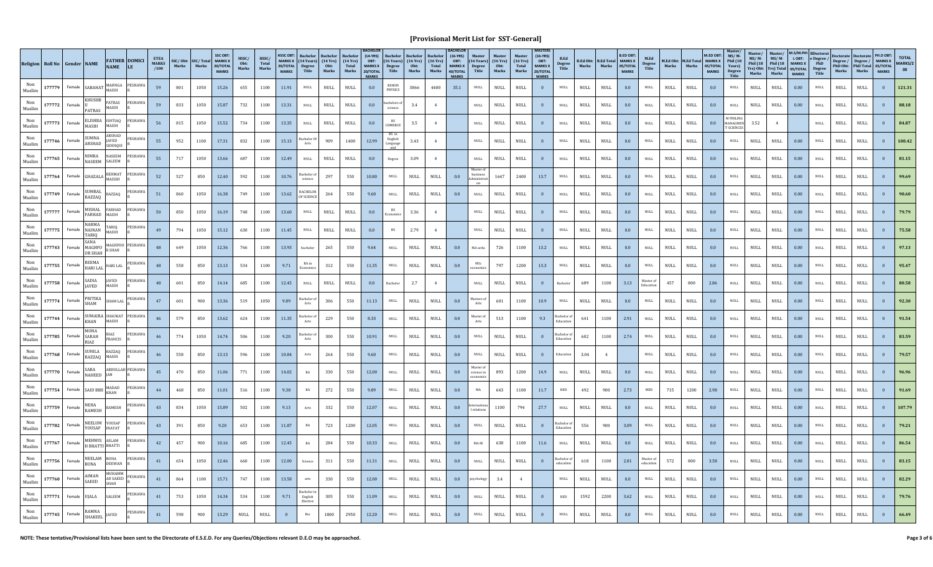|               | Religion Roll No Gender NAME |        |                                  | <b>NAME</b>                       | <b>FATHER DOMICI</b><br>LE | <b>ETEA</b><br><b>MARKS</b><br>/100 | Marks | SSC/Obt: SSC/Total<br>Marks | <b>SSC OBT</b><br><b>MARKS X</b><br>20/TOTAL<br><b>MARKS</b> | HSSC/<br>0 <sub>bt</sub><br>Marks | HSSC/<br>Total<br>Marks | <b>HSSC OBT</b><br>20/TOTAL<br><b>MARKS</b> | MARKS X $(14 \text{ Years})$ $(14 \text{Yrs})$<br><b>Degree</b><br>Title | <b>Bachelo</b><br>Obt:<br>Marks | $(14 \text{ Yrs})$<br>Total<br>Marks | $(14-YRS)$<br>OBT:<br><b>MARKS X</b><br>20/TOTAL<br><b>MARKS</b> | $(16$ Years)<br>Degree<br>Title | Bachelor<br>$(16 \text{ Yrs})$<br>Obt:<br>Marks | (16Yrs)<br>Total<br>Marks    | $(16-YRS)$<br>OBT:<br><b>MARKS X</b><br>40/TOTAL<br><b>MARKS</b> | $(16$ Years)<br>Degree<br>Title | $(16 \text{ Yrs})$<br>Obt:<br>Marks | (16 <b>Yrs</b> )<br>Total<br>Marks | $(16-YRS)$<br>OBT:<br><b>MARKS X</b><br>20/TOTAL<br><b>MARKS</b> | <b>B.Ed</b><br><b>Degree</b><br>Title | Marks                        | <b>B.Ed Obt: B.Ed Total MARKS X</b><br>Marks | <b>B.ED OBT</b><br>05/TOTAL<br><b>MARKS</b> | M.Ed<br><b>Degree</b><br>Title | Marks                        | M.Ed Obt: M.Ed Total MARKS X<br>Marks | M.FD OBT:<br>05/TOTAL<br><b>MARKS</b> | $MS/M$ -<br><b>Phil</b> (18<br>Years)<br>Degree<br>Title | Master.<br>$MS/M -$<br>Phil $(18)$<br>Marks | Master/<br>$MS/M -$<br>Phil $(18$<br>Yrs) Obt: Yrs) Total 05/TOTAL<br>Marks | M.S/M.PH<br>L OBT:<br><b>MARKS X</b><br><b>MARKS</b> | <b>BDoctorat</b><br>$\frac{1}{2}$ e Degree /<br><b>Degree</b><br>Title | Degree / Degree / MARKS X<br>PhD Obt: PhD Total 05/TOTAL<br>Marks | Marks                        | PH.D OBT:<br><b>MARKS</b> | <b>TOTAL</b><br>MARKS/2<br>00 |
|---------------|------------------------------|--------|----------------------------------|-----------------------------------|----------------------------|-------------------------------------|-------|-----------------------------|--------------------------------------------------------------|-----------------------------------|-------------------------|---------------------------------------------|--------------------------------------------------------------------------|---------------------------------|--------------------------------------|------------------------------------------------------------------|---------------------------------|-------------------------------------------------|------------------------------|------------------------------------------------------------------|---------------------------------|-------------------------------------|------------------------------------|------------------------------------------------------------------|---------------------------------------|------------------------------|----------------------------------------------|---------------------------------------------|--------------------------------|------------------------------|---------------------------------------|---------------------------------------|----------------------------------------------------------|---------------------------------------------|-----------------------------------------------------------------------------|------------------------------------------------------|------------------------------------------------------------------------|-------------------------------------------------------------------|------------------------------|---------------------------|-------------------------------|
| Muslim        | 177779                       |        | Female SABAHAT                   | MAHNGA<br><b>ASIH</b>             | <b>PESHAW</b>              | 59                                  | 801   | 1050                        | 15.26                                                        | 655                               | 1100                    | 11.91                                       | $\mathop{\rm NULL}$                                                      | $\ensuremath{\mathsf{NULL}}$    | $\mathop{\rm NULL}$                  | 0.0                                                              | <b>BSHON</b><br>PHYSICS         | 3866                                            | 4400                         | 35.1                                                             | $\ensuremath{\mathsf{NULL}}$    | NULL                                | $\ensuremath{\mathsf{NULL}}$       | $\overline{\mathbf{0}}$                                          | $_{\rm NULL}$                         | <b>NULL</b>                  | $\ensuremath{\mathsf{NULL}}$                 | 0.0                                         | $\mathop{\rm NULL}$            | $\ensuremath{\mathsf{NULL}}$ | NULL                                  | 0.0                                   | <b>NULL</b>                                              | <b>NULL</b>                                 | $\ensuremath{\mathsf{NULL}}$                                                | 0.00                                                 | <b>NULL</b>                                                            | $\mathop{\rm NULL}$                                               | <b>NULL</b>                  | $\Omega$                  | 121.31                        |
| Muslim        | 177772                       | Female | KHUSHB<br>PATRAS                 | PATRAS<br>MASIH                   | PESHAWA                    | 59                                  | 833   | 1050                        | 15.87                                                        | 732                               | 1100                    | 13.31                                       | NULL                                                                     | NULL                            | <b>NULL</b>                          | 0.0                                                              | achelors o<br>science           | 3.4                                             | $\overline{4}$               |                                                                  | $\mathop{\rm NULL}$             | <b>NULL</b>                         | <b>NULL</b>                        | $\bf{0}$                                                         | <b>NULL</b>                           | <b>NULL</b>                  | <b>NULL</b>                                  | 0.0                                         | <b>NULL</b>                    | <b>NULL</b>                  | <b>NULL</b>                           | 0.0                                   | <b>NULL</b>                                              | NULL                                        | <b>NULL</b>                                                                 | 0.00                                                 | NULL                                                                   | <b>NULL</b>                                                       | <b>NULL</b>                  |                           |                               |
| Non<br>Muslim | 177773                       | Female | <b>ELISHBA</b><br>MASIH          | <b>SHTIAO</b><br><b>ASIH</b>      | <b>PESHAWA</b>             | 56                                  | 815   | 1050                        | 15.52                                                        | 734                               | 1100                    | 13.35                                       | NULL                                                                     | $\ensuremath{\mathsf{NULL}}$    | $\ensuremath{\mathsf{NULL}}$         | 0.0                                                              | COMERCE                         | $3.5\,$                                         |                              |                                                                  | NULL                            | <b>NULL</b>                         | <b>NULL</b>                        |                                                                  | $\ensuremath{\mathsf{NULL}}$          | <b>NULL</b>                  | $\ensuremath{\mathsf{NULL}}$                 | 0.0                                         | $\mbox{NULL}$                  | NULL                         | $\ensuremath{\mathsf{NULL}}$          | 0.0                                   | M PHILINO<br>MANAGMEN<br><b>T SCIENCES</b>               | 3.52                                        | 4                                                                           |                                                      | $\ensuremath{\mathsf{NULL}}$                                           | <b>NULL</b>                                                       | <b>NULL</b>                  |                           |                               |
| Non<br>Muslim | 177746                       | Female | <b>SUMNA</b><br>ARSHAD           | ARSHAD<br>AVED<br><b>IDDIOU</b>   | PESHAWA                    | 55                                  | 952   | 1100                        | 17.31                                                        | 832                               | 1100                    | 15.13                                       | Bachelor Of<br>Arts                                                      | 909                             | 1400                                 | 12.99                                                            | English<br>Language<br>and      | 3.43                                            | $\overline{4}$               |                                                                  | $\mathop{\rm NULL}$             | <b>NULL</b>                         | <b>NULL</b>                        |                                                                  | $_{\rm NULL}$                         | <b>NULL</b>                  | $\ensuremath{\mathsf{NULL}}$                 | 0.0                                         | <b>NULL</b>                    | $\ensuremath{\mathsf{NULL}}$ | NULL                                  | 0.0                                   | <b>NULL</b>                                              | <b>NULL</b>                                 | $\ensuremath{\mathsf{NULL}}$                                                | 0.00                                                 | <b>NULL</b>                                                            | $\mathop{\rm NULL}$                                               | NULL                         |                           | 100.42                        |
| Muslim        | 177765                       | Female | <b>NIMRA</b><br><b>NASEEM</b>    | NASEEM<br>SALEEM                  | PESHAWA                    | 55                                  | 717   | 1050                        | 13.66                                                        | 687                               | 1100                    | 12.49                                       | <b>NULL</b>                                                              | <b>NULL</b>                     | NULL                                 | 0.0                                                              | Degree                          | 3.09                                            | $\overline{4}$               |                                                                  | $\mathsf{NULL}$                 | NULL                                | <b>NULL</b>                        | $\overline{0}$                                                   | <b>NULL</b>                           | <b>NULL</b>                  | $\ensuremath{\mathsf{NULL}}$                 | 0.0                                         | <b>NULL</b>                    | $\ensuremath{\mathsf{NULL}}$ | $\mathop{\rm NULL}$                   | 0.0                                   | <b>NULL</b>                                              | <b>NULL</b>                                 | $\ensuremath{\mathsf{NULL}}$                                                | 0.00                                                 | <b>NULL</b>                                                            | <b>NULL</b>                                                       | <b>NULL</b>                  | $\Omega$                  | 81.15                         |
| Muslim        | 177764                       | Female | GHAZALA                          | REHMAT<br>MASSIH                  | PESHAWA                    | 52                                  | 527   | 850                         | 12.40                                                        | 592                               | 1100                    | 10.76                                       | Bachelor of<br>science                                                   | 297                             | 550                                  | 10.80                                                            | $\mbox{NULL}$                   | $\ensuremath{\mathsf{NULL}}$                    | $\ensuremath{\mathsf{NULL}}$ | 0.0                                                              | Mastern<br>business<br>Iministi | 1647                                | 2400                               | 13.7                                                             | $\mbox{NULL}$                         | <b>NULL</b>                  | $\ensuremath{\mathsf{NULL}}$                 | 0.0                                         | $\ensuremath{\mathsf{NULL}}$   | $\ensuremath{\mathsf{NULL}}$ | $\mathop{\rm NULL}$                   | 0.0                                   | $\mathop{\rm NULL}$                                      | NULL                                        | $\ensuremath{\mathsf{NULL}}$                                                | 0.00                                                 | $\mbox{NULL}$                                                          | $\mathop{\rm NULL}$                                               | $\ensuremath{\mathsf{NULL}}$ | $\Omega$                  | 99.69                         |
| Muslim        | 177749                       | Female | <b>SUMBAL</b><br>RAZZAQ          | RAZZAQ                            | <b>PESHAW</b>              | 51                                  | 860   | 1050                        | 16.38                                                        | 749                               | 1100                    | 13.62                                       | <b>BACHELOR</b><br>OF SCIENCE                                            | 264                             | 550                                  | 9.60                                                             | $\rm NULL$                      | NULL                                            | <b>NULL</b>                  | 0.0                                                              | $\mathop{\rm NULL}$             | NULL                                | <b>NULL</b>                        | $\bf{0}$                                                         | <b>NULL</b>                           | <b>NULL</b>                  | <b>NULL</b>                                  | 0.0                                         | <b>NULL</b>                    | <b>NULL</b>                  | <b>NULL</b>                           | 0.0                                   | <b>NULL</b>                                              | NULL                                        | <b>NULL</b>                                                                 | 0.00                                                 | <b>NULL</b>                                                            | <b>NULL</b>                                                       | <b>NULL</b>                  |                           |                               |
| Non<br>Muslim | 177777                       | Female | <b>MISHAL</b><br>FARHAD          | <b>ARHAD</b><br>MASIH             | <b>PESHAWA</b>             | 50                                  | 850   | 1050                        | 16.19                                                        | 748                               | 1100                    | 13.60                                       | <b>NULL</b>                                                              | $\ensuremath{\mathsf{NULL}}$    | $\ensuremath{\mathsf{NULL}}$         | 0.0                                                              | <b>BS</b><br>onomic             | 3.36                                            |                              |                                                                  | $\mathop{\rm NULL}$             | <b>NULL</b>                         | <b>NULL</b>                        |                                                                  | $\mbox{NULL}$                         | <b>NULL</b>                  | $\ensuremath{\mathsf{NULL}}$                 | 0.0                                         | $\mbox{NULL}$                  | NULL                         | <b>NULL</b>                           | $0.0\,$                               | $\ensuremath{\mathsf{NULL}}$                             | <b>NULL</b>                                 | <b>NULL</b>                                                                 | 0.00                                                 | <b>NULL</b>                                                            | $\mathop{\rm NULL}$                                               | <b>NULL</b>                  |                           |                               |
| Non<br>Muslim | 177775                       | Female | NARMA<br>NAINAN<br>TARIQ         | TARIO<br>MASIH                    | PESHAWA                    | 49                                  | 794   | 1050                        | 15.12                                                        | 630                               | 1100                    | 11.45                                       | $\mathop{\rm NULL}$                                                      | $\ensuremath{\mathsf{NULL}}$    | $\ensuremath{\mathsf{NULL}}$         | 0.0                                                              | $_{\rm BS}$                     | 2.79                                            | $\overline{4}$               |                                                                  | $\mathop{\rm NULL}$             | $\ensuremath{\mathsf{NULL}}$        | <b>NULL</b>                        |                                                                  | $_{\rm NULL}$                         | <b>NULL</b>                  | $\ensuremath{\mathsf{NULL}}$                 | 0.0                                         | <b>NULL</b>                    | $\ensuremath{\mathsf{NULL}}$ | $\ensuremath{\mathsf{NULL}}$          | 0.0                                   | <b>NULL</b>                                              | NULL                                        | $\ensuremath{\mathsf{NULL}}$                                                | 0.00                                                 | <b>NULL</b>                                                            | $\mathop{\rm NULL}$                                               | $\ensuremath{\mathsf{NULL}}$ |                           | 75.58                         |
| Muslim        | 177743                       | Female | SANA<br>MAGHFC<br><b>OR SHAR</b> | SHAH                              | AGHFOO PESHAWA             | 48                                  | 649   | 1050                        | 12.36                                                        | 766                               | 1100                    | 13.93                                       | bachelor                                                                 | 265                             | 550                                  | 9.64                                                             | <b>NULL</b>                     | <b>NULL</b>                                     | <b>NULL</b>                  | 0.0                                                              | MA urdu                         | 726                                 | 1100                               | 13.2                                                             | <b>NULL</b>                           | <b>NULL</b>                  | $\ensuremath{\mathsf{NULL}}$                 | 0.0                                         | <b>NULL</b>                    | $\ensuremath{\mathsf{NULL}}$ | $\ensuremath{\mathsf{NULL}}$          | 0.0                                   | <b>NULL</b>                                              | <b>NULL</b>                                 | $\ensuremath{\mathsf{NULL}}$                                                | 0.00                                                 | <b>NULL</b>                                                            | <b>NULL</b>                                                       | <b>NULL</b>                  | $\Omega$                  | 97.13                         |
| Muslim        | 177755                       | Female | <b>REEMA</b><br><b>HARI LAI</b>  | <b>JARI LAL</b>                   | PESHAWA                    | 48                                  | 558   | 850                         | 13.13                                                        | 534                               | 1100                    | 9.71                                        | BA in                                                                    | 312                             | 550                                  | 11.35                                                            | $\mbox{NULL}$                   | $\ensuremath{\mathsf{NULL}}$                    | $\ensuremath{\mathsf{NULL}}$ | 0.0                                                              | MSc<br>conomio                  | 797                                 | 1200                               | 13.3                                                             | $\mbox{NULL}$                         | $\ensuremath{\mathsf{NULL}}$ | $\ensuremath{\mathsf{NULL}}$                 | 0.0                                         | $_{\rm NULL}$                  | $\ensuremath{\mathsf{NULL}}$ | $\mathop{\rm NULL}$                   | 0.0                                   | $\mathop{\rm NULL}$                                      | $\ensuremath{\mathsf{NULL}}$                | $\ensuremath{\mathsf{NULL}}$                                                | 0.00                                                 | $\mbox{NULL}$                                                          | $\mathop{\rm NULL}$                                               | NULL                         | $\Omega$                  | 95.47                         |
| Muslim        | 177758                       | Female | SADIA<br><b>JAVED</b>            | <b>IAVED</b><br>MASIH             | <b>PESHAW</b>              | 48                                  | 601   | 850                         | 14.14                                                        | 685                               | 1100                    | 12.45                                       | NULL                                                                     | $\ensuremath{\mathsf{NULL}}$    | $\ensuremath{\mathsf{NULL}}$         | 0.0                                                              | Bachelor                        | 2.7                                             | $\overline{4}$               |                                                                  | $\mathop{\rm NULL}$             | NULL                                | NULL                               | $\bf{0}$                                                         | Bachelo                               | 689                          | 1100                                         | 3.13                                        | Master o<br>ducation           | 457                          | 800                                   | 2.86                                  | NULL                                                     | NULL                                        | $\ensuremath{\mathsf{NULL}}$                                                | 0.00                                                 | <b>NULL</b>                                                            | NULL                                                              | <b>NULL</b>                  |                           |                               |
| Non<br>Muslim | 177774                       | Female | PRITIKA<br>SHAM                  | HAM LAL                           | <b>PESHAWA</b>             | 47                                  | 601   | 900                         | 13.36                                                        | 519                               | 1050                    | 9.89                                        | Bachelor o<br>Arts                                                       | 306                             | 550                                  | 11.13                                                            | $\mathop{\rm NULL}$             | <b>NULL</b>                                     | $\ensuremath{\mathsf{NULL}}$ | 0.0                                                              | Masters o<br>Arts               | 601                                 | 1100                               | 10.9                                                             | $\ensuremath{\mathsf{NULL}}$          | <b>NULL</b>                  | <b>NULL</b>                                  | 0.0                                         | $\mbox{NULL}$                  | <b>NULL</b>                  | $\mathop{\rm NULL}$                   | 0.0                                   | $\ensuremath{\mathsf{NULL}}$                             | <b>NULL</b>                                 | <b>NULL</b>                                                                 | 0.00                                                 | $\mathop{\rm NULL}$                                                    | <b>NULL</b>                                                       | <b>NULL</b>                  |                           |                               |
| Non<br>Muslim | 177744                       | Female | <b>SUMAIRA</b><br><b>KHAN</b>    | <b>SHAUKAT</b><br><b>ASIH</b>     | <b>PESHAW</b>              | 46                                  | 579   | 850                         | 13.62                                                        | 624                               | 1100                    | 11.35                                       | achelor o<br>Arts                                                        | 229                             | 550                                  | 8.33                                                             | <b>NULL</b>                     | $\ensuremath{\mathsf{NULL}}$                    | $\ensuremath{\mathsf{NULL}}$ | 0.0                                                              | Master of<br>Arts               | 513                                 | 1100                               | 9.3                                                              | Educatio                              | 641                          | 1100                                         | 2.91                                        | <b>NULL</b>                    | $\ensuremath{\mathsf{NULL}}$ | $\ensuremath{\mathsf{NULL}}$          | 0.0                                   | <b>NULL</b>                                              | <b>NULL</b>                                 | $\ensuremath{\mathsf{NULL}}$                                                | 0.00                                                 | <b>NULL</b>                                                            | $\mathop{\rm NULL}$                                               | $\ensuremath{\mathsf{NULL}}$ |                           | 91.54                         |
| Muslim        | 177785                       | Female | MONA<br>SARAH<br><b>RIAZ</b>     | FRANCIS                           | <b>PESHAWA</b>             | 46                                  | 774   | 1050                        | 14.74                                                        | 506                               | 1100                    | 9.20                                        | achelor of<br>Arts                                                       | 300                             | 550                                  | 10.91                                                            | $\mbox{NULL}$                   | <b>NULL</b>                                     | $\ensuremath{\mathsf{NULL}}$ | 0.0                                                              | <b>NULL</b>                     | NULL                                | <b>NULL</b>                        | $\overline{0}$                                                   |                                       | 602                          | 1100                                         | 2.74                                        | <b>NULL</b>                    | <b>NULL</b>                  | NULL                                  | 0.0                                   | <b>NULL</b>                                              | <b>NULL</b>                                 | $\ensuremath{\mathsf{NULL}}$                                                | 0.00                                                 | <b>NULL</b>                                                            | $\ensuremath{\mathsf{NULL}}$                                      | <b>NULL</b>                  | $\Omega$                  | 83.59                         |
| Muslim        | 177768                       | Female | SUNILA<br><b>RAZZAQ</b>          | RAZZAQ<br>MASIH                   | PESHAWA                    | 46                                  | 558   | 850                         | 13.13                                                        | 596                               | 1100                    | 10.84                                       | Arts                                                                     | 264                             | 550                                  | 9.60                                                             | $\mathop{\rm NULL}$             | $\ensuremath{\mathsf{NULL}}$                    | $\ensuremath{\mathsf{NULL}}$ | 0.0                                                              | $\ensuremath{\mathsf{NULL}}$    | $\mathop{\rm NULL}$                 | $\ensuremath{\mathsf{NULL}}$       | $\bf{0}$                                                         | Education                             | 3.04                         | 4                                            |                                             | $\mathop{\rm NULL}$            | $\ensuremath{\mathsf{NULL}}$ | $\mathop{\rm NULL}$                   | 0.0                                   | $\mathop{\rm NULL}$                                      | NULL                                        | $\ensuremath{\mathsf{NULL}}$                                                | 0.00                                                 | $\mbox{NULL}$                                                          | $\mathop{\rm NULL}$                                               | NULL                         | $\Omega$                  | 79.57                         |
| Non<br>Muslim | 177770                       | Female | SARA<br>NAHEED                   | IΔN                               | <b>BDULLAH PESHAWA</b>     | 45                                  | 470   | 850                         | 11.06                                                        | 771                               | 1100                    | 14.02                                       | BA                                                                       | 330                             | 550                                  | 12.00                                                            | $\mathop{\rm NULL}$             | NULL                                            | <b>NULL</b>                  | 0.0                                                              | science ir                      | 893                                 | 1200                               | 14.9                                                             | <b>NULL</b>                           | <b>NULL</b>                  | $\ensuremath{\mathsf{NULL}}$                 | 0.0                                         | $\mbox{NULL}$                  | $\ensuremath{\mathsf{NULL}}$ | $\ensuremath{\mathsf{NULL}}$          | 0.0                                   | <b>NULL</b>                                              | <b>NULL</b>                                 | <b>NULL</b>                                                                 | 0.00                                                 | $\mathop{\rm NULL}$                                                    | <b>NULL</b>                                                       | <b>NULL</b>                  |                           |                               |
| Non<br>Muslim | 177754                       | Female | <b>SAID BIBI</b>                 | MADAD<br>KHAN                     | <b>PESHAW</b>              | 44                                  | 468   | 850                         | 11.01                                                        | 516                               | 1100                    | 9.38                                        | BA                                                                       | 272                             | 550                                  | 9.89                                                             | <b>NULL</b>                     | <b>NULL</b>                                     | <b>NULL</b>                  | 0.0                                                              | MA                              | 643                                 | 1100                               | 11.7                                                             | <b>BED</b>                            | 492                          | 900                                          | 2.73                                        | $_{\rm MED}$                   | 715                          | 1200                                  | 2.98                                  | $\ensuremath{\mathsf{NULL}}$                             | <b>NULL</b>                                 | <b>NULL</b>                                                                 | 0.00                                                 | <b>NULL</b>                                                            | <b>NULL</b>                                                       | <b>NULL</b>                  |                           |                               |
| Muslim        | 177759                       | Female | <b>NFHA</b><br>RAMESH            | <b>AMESH</b>                      | <b>PESHAW</b>              | 43                                  | 834   | 1050                        | 15.89                                                        | 502                               | 1100                    | 9.13                                        | Arts                                                                     | 332                             | 550                                  | 12.07                                                            | <b>NULL</b>                     | $\ensuremath{\mathsf{NULL}}$                    | $\ensuremath{\mathsf{NULL}}$ | 0.0                                                              | relation                        | 1100                                | 794                                | 27.7                                                             | <b>NULL</b>                           | <b>NULL</b>                  | $\ensuremath{\mathsf{NULL}}$                 | 0.0                                         | <b>NULL</b>                    | $\ensuremath{\mathsf{NULL}}$ | $\ensuremath{\mathsf{NULL}}$          | 0.0                                   | <b>NULL</b>                                              | <b>NULL</b>                                 | $\ensuremath{\mathsf{NULL}}$                                                | 0.00                                                 | <b>NULL</b>                                                            | $\mathop{\rm NULL}$                                               | <b>NULL</b>                  |                           | 107.79                        |
| Muslim        | 177782                       | Female | NEELUM<br>YOUSAF                 | <b>OUSAF</b><br>NAYAT             | <b>PESHAW</b>              | 43                                  | 391   | 850                         | 9.20                                                         | 653                               | 1100                    | 11.87                                       | BA                                                                       | 723                             | 1200                                 | 12.05                                                            | $\mbox{NULL}$                   | $\ensuremath{\mathsf{NULL}}$                    | <b>NULL</b>                  | 0.0                                                              | NULL                            | <b>NULL</b>                         | $\ensuremath{\mathsf{NULL}}$       | $\overline{0}$                                                   |                                       | 556                          | 900                                          | 3.09                                        | <b>NULL</b>                    | <b>NULL</b>                  | <b>NULL</b>                           | 0.0                                   | <b>NULL</b>                                              | <b>NULL</b>                                 | $\ensuremath{\mathsf{NULL}}$                                                | 0.00                                                 | <b>NULL</b>                                                            | <b>NULL</b>                                                       | <b>NULL</b>                  | $\Omega$                  | 79.21                         |
| Muslim        | 177767                       | Female | MEHWIS                           | ASLAM<br>H BHATTI BHATTI          | <b>PESHAW</b>              | 42                                  | 457   | 900                         | $10.16\,$                                                    | 685                               | 1100                    | 12.45                                       | $_{\rm BA}$                                                              | 284                             | 550                                  | 10.33                                                            | $\mbox{NULL}$                   | $\ensuremath{\mathsf{NULL}}$                    | $\ensuremath{\mathsf{NULL}}$ | 0.0                                                              | $\rm MA\,IR$                    | 638                                 | 1100                               | 11.6                                                             | $\mbox{NULL}$                         | $\ensuremath{\mathsf{NULL}}$ | $\ensuremath{\mathsf{NULL}}$                 | 0.0                                         | $_{\rm NULL}$                  | $\ensuremath{\mathsf{NULL}}$ | $\mathop{\rm NULL}$                   | 0.0                                   | $\mathop{\rm NULL}$                                      | NULL                                        | $\ensuremath{\mathsf{NULL}}$                                                | 0.00                                                 | $\mbox{NULL}$                                                          | $\mathop{\rm NULL}$                                               | NULL                         |                           | 86.54                         |
| Muslim        | 177756                       | Female | NEELAM<br>BONA                   | <b>BONA</b><br>DEEWAN             | <b>PESHAWA</b>             | 41                                  | 654   | 1050                        | 12.46                                                        | 660                               | 1100                    | 12.00                                       | Science                                                                  | 311                             | 550                                  | 11.31                                                            | $\mathop{\rm NULL}$             | NULL                                            | <b>NULL</b>                  | 0.0                                                              | <b>NULL</b>                     | <b>NULL</b>                         | <b>NULL</b>                        | $\bf{0}$                                                         | Bachelor<br>education                 | 618                          | 1100                                         | 2.81                                        | laster o<br>ducation           | 572                          | 800                                   | 3.58                                  | $\ensuremath{\mathsf{NULL}}$                             | <b>NULL</b>                                 | <b>NULL</b>                                                                 | 0.00                                                 | $\mathop{\rm NULL}$                                                    | <b>NULL</b>                                                       | <b>NULL</b>                  |                           | 83.15                         |
| Non<br>Muslim | 177760                       | Female | AIMAN<br>SAEED                   | <b>IUHAMM</b><br>AD SAEED<br>SHAH | PESHAWA                    | 41                                  | 864   | 1100                        | 15.71                                                        | 747                               | 1100                    | 13.58                                       | arts                                                                     | 330                             | 550                                  | 12.00                                                            | <b>NULL</b>                     | <b>NULL</b>                                     | $\ensuremath{\mathsf{NULL}}$ | 0.0                                                              | osvcholog                       | 3.4                                 | 4                                  |                                                                  | $\mathop{\rm NULL}$                   | <b>NULL</b>                  | $\mathop{\rm NULL}$                          | 0.0                                         | <b>NULL</b>                    | NULL                         | <b>NULL</b>                           | 0.0                                   | $\ensuremath{\mathsf{NULL}}$                             | <b>NULL</b>                                 | <b>NULL</b>                                                                 | 0.00                                                 | <b>NULL</b>                                                            | <b>NULL</b>                                                       | <b>NULL</b>                  | $\Omega$                  | 82.29                         |
| Muslim        | 177771                       | Female | <b>UJALA</b>                     | SALEEM                            | <b>PESHAW</b>              | 41                                  | 753   | 1050                        | 14.34                                                        | 534                               | 1100                    | 9.71                                        | Bachelor in<br>English<br>Elective                                       | 305                             | 550                                  | 11.09                                                            | <b>NULL</b>                     | $\ensuremath{\mathsf{NULL}}$                    | <b>NULL</b>                  | 0.0                                                              | <b>NULL</b>                     | <b>NULL</b>                         | <b>NULL</b>                        |                                                                  | <b>BED</b>                            | 1592                         | 2200                                         | $3.62\,$                                    | <b>NULL</b>                    | <b>NULL</b>                  | $\ensuremath{\mathsf{NULL}}$          | 0.0                                   | <b>NULL</b>                                              | <b>NULL</b>                                 | $\ensuremath{\mathsf{NULL}}$                                                | 0.00                                                 | <b>NULL</b>                                                            | $\ensuremath{\mathsf{NULL}}$                                      | <b>NULL</b>                  | $\Omega$                  | 79.76                         |
| Muslim        | 177745                       | Female | RAMNA<br><b>SHAKEEI</b>          | <b>AVED</b>                       | PESHAWA                    | 41                                  |       | 900                         | 13.29                                                        | NULI.                             | NULI                    |                                             |                                                                          | 1800                            | 2950                                 | 12.20                                                            | <b>NULL</b>                     | NIJI.I                                          | <b>NULL</b>                  | 0.0                                                              |                                 | NULI                                | <b>NULL</b>                        |                                                                  |                                       | NULL.                        | <b>NULL</b>                                  | 0.0                                         |                                | NIJL.                        | NULL.                                 | 0.0                                   | <b>NULL</b>                                              | NIJLI.                                      | <b>NULL</b>                                                                 | 0.00                                                 | <b>NULL</b>                                                            | NULL.                                                             | <b>NULL</b>                  |                           |                               |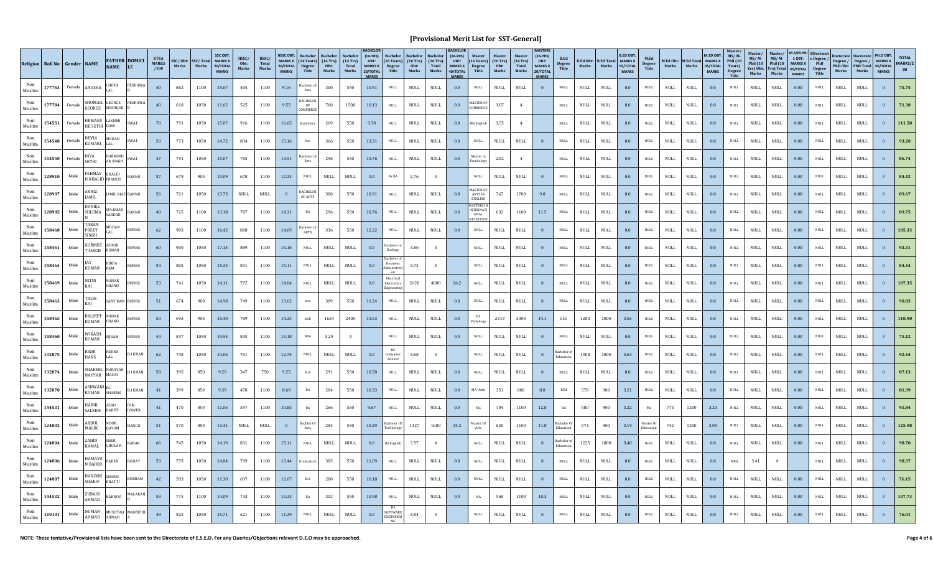|               | Religion   Roll No   Gender   NAME |        |                                | <b>NAME</b>                     | <b>FATHER DOMICI</b><br>LE. | <b>ETEA</b><br><b>MARKS</b><br>/100 | Marks | SSC/Obt: SSC/Total<br>Marks | <b>SSC OBT</b><br><b>MARKS</b> X<br>20/TOTAL<br><b>MARKS</b> | HSSC/<br>Obt:<br>Marks       | HSSC/<br>Total<br>Marks      | <b>HSSC OBT</b><br>20/TOTAL<br><b>MARKS</b> | MARKS X $(14 \text{ Years})$ $(14 \text{Yrs})$<br>Degree<br>Title | Obt:<br>Marks                | $(14 \text{ Yrs})$<br>Total<br>Marks | <b>ACHELO</b><br>$(14-YRS)$<br>OBT:<br><b>MARKS X</b><br>20/TOTAL<br><b>MARKS</b> | $(16 \text{ Years})$ $(16 \text{Yrs})$<br>Degree<br>Title | Obt:<br>Marks                | (16Yrs)<br>Total<br>Marks    | $(16-YRS)$<br>OBT:<br><b>MARKS X</b><br>40/TOTAL<br><b>MARKS</b> | $(16$ Years)<br>Degree<br>Title                         | $(16 \text{ Yrs})$<br>Obt:<br>Marks | (16Yrs)<br>Total<br>Marks    | <b>MASTERS</b><br>$(16-YRS)$<br>OBT:<br><b>MARKS X</b><br>20/TOTAL<br><b>MARKS</b> | <b>B.Ed.</b><br><b>Degree</b><br>Title | <b>B.Ed Obt:</b><br>Marks    | <b>B.Ed Total MARKS X</b><br>Marks | <b>B.ED OBT</b><br>05/TOTAL<br><b>MARKS</b> | M.Ed<br>Degree<br>Title      | <b>Marks</b>                 | M.Ed Obt: M.Ed Total MARKS X<br>Marks | M.ED OBT:<br>05/TOTAL<br><b>MARKS</b> | MS/M<br>Phil (18<br>Years)<br>Degree<br>Title | Master/<br>$MS/M -$<br>Phil (18<br>Yrs) Obt:<br>Marks | Master/<br>$MS/M$ -<br>Phil (18<br>Yrs) Total<br>Marks | M.S/M.PHI<br><b>MARKS X</b><br>05/TOTAL<br><b>MARKS</b> | <b>BDoctorat</b><br>LOBT: e Degree /<br>PhD<br><b>Degree</b><br>Title | Marks                        | Degree / Degree / MARKS X<br>PhD Obt: PhD Total 05/TOTAL<br>Marks | PH.D OBT:<br><b>MARKS</b> | <b>TOTAL</b><br>MARKS/2<br>00 |
|---------------|------------------------------------|--------|--------------------------------|---------------------------------|-----------------------------|-------------------------------------|-------|-----------------------------|--------------------------------------------------------------|------------------------------|------------------------------|---------------------------------------------|-------------------------------------------------------------------|------------------------------|--------------------------------------|-----------------------------------------------------------------------------------|-----------------------------------------------------------|------------------------------|------------------------------|------------------------------------------------------------------|---------------------------------------------------------|-------------------------------------|------------------------------|------------------------------------------------------------------------------------|----------------------------------------|------------------------------|------------------------------------|---------------------------------------------|------------------------------|------------------------------|---------------------------------------|---------------------------------------|-----------------------------------------------|-------------------------------------------------------|--------------------------------------------------------|---------------------------------------------------------|-----------------------------------------------------------------------|------------------------------|-------------------------------------------------------------------|---------------------------|-------------------------------|
| Muslim        | 177763                             | Female | <b>ANUSHA</b>                  | <b>HOTA</b><br>AL.              | <b>PESHAW</b>               | 40                                  | 862   | 1100                        | 15.67                                                        | 504                          | 1100                         | 9.16                                        | Bachelor o<br>Arts                                                | 300                          | 550                                  | 10.91                                                                             | <b>NULL</b>                                               | NULL                         | $\ensuremath{\mathsf{NULL}}$ | 0.0                                                              | $\mathop{\rm NULL}$                                     | $\mathop{\rm NULL}$                 | NULL                         | $\mathbf{0}$                                                                       | $\mathop{\rm NULL}$                    | $\ensuremath{\mathsf{NULL}}$ | <b>NULL</b>                        | 0.0                                         | NULL                         | <b>NULL</b>                  | $\ensuremath{\mathsf{NULL}}$          | 0.0                                   | NULL                                          | <b>NULL</b>                                           | <b>NULL</b>                                            | 0.00                                                    | <b>NULL</b>                                                           | $\ensuremath{\mathsf{NULL}}$ | $\ensuremath{\mathsf{NULL}}$                                      | $\bf{0}$                  | 75.75                         |
| Non<br>Muslim | 177784                             | Female | <b>GEORGE</b>                  | SHUMAIL GEORGE<br>SIDDIOUE      | <b>PESHAWA</b>              | 40                                  | 610   | 1050                        | 11.62                                                        | 525                          | 1100                         | 9.55                                        | <b>BACHELOR</b><br>OF<br>COMMERCE                                 | 760                          | 1500                                 | 10.13                                                                             | <b>NULL</b>                                               | <b>NULL</b>                  | <b>NULL</b>                  | 0.0                                                              | MASTER O<br>COMMERCE                                    | 3.07                                | 4                            |                                                                                    | $\mathop{\rm NULL}$                    | <b>NULL</b>                  | $\ensuremath{\mathsf{NULL}}$       | 0.0                                         | <b>NULL</b>                  | <b>NULL</b>                  | $\rm NULL$                            | 0.0                                   | <b>NULL</b>                                   | <b>NULL</b>                                           | <b>NULL</b>                                            | 0.00                                                    | $\mbox{NULL}$                                                         | $\rm NULL$                   | <b>NULL</b>                                                       |                           | 71.30                         |
| Non<br>Muslim | 154551                             | Female | HEMANS<br>HE SETHI             | AKHMI<br><b>DASS</b>            | SWAT                        | 70                                  | 791   | 1050                        | 15.07                                                        | 916                          | 1100                         | 16.65                                       | Bachelors                                                         | 269                          | 550                                  | 9.78                                                                              | <b>NULL</b>                                               | $\ensuremath{\mathsf{NULL}}$ | $\ensuremath{\mathsf{NULL}}$ | 0.0                                                              | MA English                                              | 3.55                                | 4                            |                                                                                    | NULL                                   | $\ensuremath{\mathsf{NULL}}$ | NULL                               | 0.0                                         | <b>NULL</b>                  | <b>NULL</b>                  | <b>NULL</b>                           | 0.0                                   | $\ensuremath{\mathsf{NULL}}$                  | $\ensuremath{\mathsf{NULL}}$                          | <b>NULL</b>                                            | 0.00                                                    | $\ensuremath{\mathsf{NULL}}$                                          | $\mathop{\rm NULL}$          | $\ensuremath{\mathsf{NULL}}$                                      | $\mathbf{0}$              | 111.50                        |
| Muslim        | 154548                             | Female | DEVIA<br>KUMARI                | MADAN                           | SWAT                        | 50                                  | 773   | 1050                        | 14.72                                                        | 834                          | 1100                         | 15.16                                       | bsc                                                               | 366                          | 550                                  | 13.31                                                                             | <b>NULL</b>                                               | NULL                         | $\ensuremath{\mathsf{NULL}}$ | 0.0                                                              | <b>NULL</b>                                             | <b>NULL</b>                         | $\ensuremath{\mathsf{NULL}}$ |                                                                                    | $\mathop{\rm NULL}$                    | <b>NULL</b>                  | <b>NULL</b>                        | 0.0                                         | NULL                         | NULL                         | NULL                                  | 0.0                                   | <b>NULL</b>                                   | <b>NULL</b>                                           | <b>NULL</b>                                            | 0.00                                                    | <b>NULL</b>                                                           | $\mathop{\rm NULL}$          | <b>NULL</b>                                                       | $\mathbf{0}$              | 93.20                         |
| Muslim        | 154550                             | Female | <b>DIYA</b><br><b>SETHI</b>    | <b>IARMIND</b><br>R SINGH       | <b>SWAT</b>                 | 47                                  | 791   | 1050                        | 15.07                                                        | 765                          | 1100                         | 13.91                                       | achelor of<br>Arts                                                | 296                          | 550                                  | 10.76                                                                             | $\mathop{\rm NULL}$                                       | $\ensuremath{\mathsf{NULL}}$ | NULL                         | 0.0                                                              | Aaster in<br>svcholog                                   | 2.82                                | $\overline{4}$               |                                                                                    | <b>NULL</b>                            | <b>NULL</b>                  | $\ensuremath{\mathsf{NULL}}$       | 0.0                                         | <b>NULL</b>                  | NULL                         | NULL                                  | $0.0\,$                               | <b>NULL</b>                                   | <b>NULL</b>                                           | <b>NULL</b>                                            | 0.00                                                    | <b>NULL</b>                                                           | $\ensuremath{\mathsf{NULL}}$ | $\ensuremath{\mathsf{NULL}}$                                      | $\mathbf{0}$              | 86.74                         |
| Muslim        | 128910                             | Male   | FEHMAS                         | KHALID<br>H KHALID FRANCIS      | BANNU                       | 57                                  | 679   | 900                         | 15.09                                                        | 678                          | 1100                         | 12.33                                       | $\ensuremath{\mathsf{NULL}}$                                      | $\ensuremath{\mathsf{NULL}}$ | $\ensuremath{\mathsf{NULL}}$         | 0.0                                                                               | Bs BA                                                     | 2.76                         | $\overline{4}$               |                                                                  | <b>NULL</b>                                             | <b>NULL</b>                         | $\ensuremath{\mathsf{NULL}}$ |                                                                                    | $\mathop{\rm NULL}$                    | <b>NULL</b>                  | <b>NULL</b>                        | 0.0                                         | $\ensuremath{\mathsf{NULL}}$ | <b>NULL</b>                  | $\rm NULL$                            | 0.0                                   | $\ensuremath{\mathsf{NULL}}$                  | <b>NULL</b>                                           | <b>NULL</b>                                            | 0.00                                                    | $\mathop{\rm NULL}$                                                   | $\ensuremath{\mathsf{NULL}}$ | <b>NULL</b>                                                       | $\overline{0}$            | 84.42                         |
| Non<br>Muslim | 128907                             | Male   | AKHIZ<br><b>JAMIL</b>          |                                 | AMIL RIAZ BANNU             | 56                                  | 721   | 1050                        | 13.73                                                        | <b>NULL</b>                  | <b>NULL</b>                  |                                             | <b>BACHELOR</b><br>OF ARTS                                        | 300                          | 550                                  | 10.91                                                                             | <b>NULL</b>                                               | NULL                         | <b>NULL</b>                  | 0.0                                                              | MASTER <sub>0</sub><br>ARTS IN<br><b>ENGLISH</b>        | 767                                 | 1700                         | 9.0                                                                                | $\ensuremath{\mathsf{NULL}}$           | <b>NULL</b>                  | $\ensuremath{\mathsf{NULL}}$       | 0.0                                         | <b>NULL</b>                  | <b>NULL</b>                  | $\rm NULL$                            | 0.0                                   | $\ensuremath{\mathsf{NULL}}$                  | <b>NULL</b>                                           | <b>NULL</b>                                            | 0.00                                                    | $\ensuremath{\mathsf{NULL}}$                                          | $\rm NULL$                   | <b>NULL</b>                                                       |                           | 89.67                         |
| Non<br>Muslim | 128905                             | Male   | <b>DANIEL</b><br>SULEMA        | <b>SULEMAN</b><br><b>SARDAR</b> | <b>BANNU</b>                | 40                                  | 725   | 1100                        | 13.18                                                        | 787                          | 1100                         | 14.31                                       | $_{\rm BA}$                                                       | 296                          | 550                                  | 10.76                                                                             | NULL                                                      | $\ensuremath{\mathsf{NULL}}$ | $\ensuremath{\mathsf{NULL}}$ | 0.0                                                              | <b>IASTERS I</b><br><b>INTERNAT</b><br>ONAL<br>RELATION | 632                                 | 1100                         | 11.5                                                                               | <b>NULL</b>                            | $\ensuremath{\mathsf{NULL}}$ | NULL                               | 0.0                                         | NULL                         | $\ensuremath{\mathsf{NULL}}$ | <b>NULL</b>                           | $0.0\,$                               | $\mathop{\rm NULL}$                           | $\ensuremath{\mathsf{NULL}}$                          | <b>NULL</b>                                            | 0.00                                                    | <b>NULL</b>                                                           | $\mathop{\rm NULL}$          | $\ensuremath{\mathsf{NULL}}$                                      | $\mathbf{0}$              | 89.75                         |
| Non<br>Muslim | 158468                             | Male   | TARAN<br>PREET<br><b>SINGH</b> | MOHAN                           | <b>BUNER</b>                | 62                                  | 903   | 1100                        | 16.42                                                        | 808                          | 1100                         | 14.69                                       | Bachelor o<br>ARTS                                                | 336                          | 550                                  | 12.22                                                                             | <b>NULL</b>                                               | <b>NULL</b>                  | $\ensuremath{\mathsf{NULL}}$ | 0.0                                                              | $\mathop{\rm NULL}$                                     | <b>NULL</b>                         | $\ensuremath{\mathsf{NULL}}$ |                                                                                    | <b>NULL</b>                            | <b>NULL</b>                  | NULL                               | 0.0                                         | NULL                         | NULL                         | NULL                                  | 0.0                                   | <b>NULL</b>                                   | <b>NULL</b>                                           | NULL                                                   | 0.00                                                    | <b>NULL</b>                                                           | $\ensuremath{\mathsf{NULL}}$ | $\ensuremath{\mathsf{NULL}}$                                      | $\mathbf{0}$              | 105.33                        |
| Non<br>Muslim | 158461                             | Male   | GURMEE<br><b>T SINGH</b>       | ASHOK<br><b>IIMAR</b>           | <b>BUNER</b>                | 60                                  | 900   | 1050                        | 17.14                                                        | 889                          | 1100                         | 16.16                                       | <b>NULL</b>                                                       | <b>NULL</b>                  | $\ensuremath{\mathsf{NULL}}$         | 0.0                                                                               | achelor in<br>Zoology                                     | 3.86                         | $\mathbf{4}$                 |                                                                  | $\mathop{\rm NULL}$                                     | <b>NULL</b>                         | $\ensuremath{\mathsf{NULL}}$ |                                                                                    | NULL                                   | $\ensuremath{\mathsf{NULL}}$ | $\ensuremath{\mathsf{NULL}}$       | 0.0                                         | <b>NULL</b>                  | <b>NULL</b>                  | $\ensuremath{\mathsf{NULL}}$          | 0.0                                   | <b>NULL</b>                                   | $\ensuremath{\mathsf{NULL}}$                          | <b>NULL</b>                                            | 0.00                                                    | <b>NULL</b>                                                           | $\ensuremath{\mathsf{NULL}}$ | $\ensuremath{\mathsf{NULL}}$                                      | $\mathbf{0}$              | 93.31                         |
| Muslim        | 158464                             | Male   | <b>KIJMAR</b>                  | KIRPA<br>RAM                    | <b>BUNER</b>                | 54                                  | 805   | 1050                        | 15.33                                                        | 831                          | 1100                         | 15.11                                       | $\mathop{\rm NULL}$                                               | $\ensuremath{\mathsf{NULL}}$ | $\ensuremath{\mathsf{NULL}}$         | $0.0\,$                                                                           | <b>Business</b><br>ministra                               | 3.72                         | 4                            |                                                                  | $\mathop{\rm NULL}$                                     | NULL                                | $\ensuremath{\mathsf{NULL}}$ | $\overline{0}$                                                                     | $\mathop{\rm NULL}$                    | <b>NULL</b>                  | <b>NULL</b>                        | 0.0                                         | <b>NULL</b>                  | $\ensuremath{\mathsf{NULL}}$ | $\rm NULL$                            | 0.0                                   | $\ensuremath{\mathsf{NULL}}$                  | <b>NULL</b>                                           | $\ensuremath{\mathsf{NULL}}$                           | 0.00                                                    | $\mathop{\rm NULL}$                                                   | $\ensuremath{\mathsf{NULL}}$ | <b>NULL</b>                                                       | $\overline{0}$            | 84.44                         |
| Muslim        | 158469                             | Male   | <b>NITIN</b>                   | NANAK<br><b>CHAND</b>           | <b>BUNER</b>                | 53                                  | 741   | 1050                        | 14.11                                                        | 772                          | 1100                         | 14.04                                       | $\ensuremath{\mathsf{NULL}}$                                      | <b>NULL</b>                  | NULL                                 | 0.0                                                                               | Electrica<br>Electronics                                  | 2620                         | 4000                         | 26.2                                                             | $\ensuremath{\mathsf{NULL}}$                            | <b>NULL</b>                         | $\ensuremath{\mathsf{NULL}}$ |                                                                                    | $\ensuremath{\mathsf{NULL}}$           | <b>NULL</b>                  | $\ensuremath{\mathsf{NULL}}$       | 0.0                                         | <b>NULL</b>                  | <b>NULL</b>                  | $\rm NULL$                            | 0.0                                   | $\ensuremath{\mathsf{NULL}}$                  | <b>NULL</b>                                           | <b>NULL</b>                                            | 0.00                                                    | $\ensuremath{\mathsf{NULL}}$                                          | $\rm NULL$                   | <b>NULL</b>                                                       | $\bf{0}$                  | 107.35                        |
| Non<br>Muslim | 158463                             | Male   | TALIK                          |                                 | <b>SANT RAM BUNER</b>       | 51                                  | 674   | 900                         | 14.98                                                        | 749                          | 1100                         | 13.62                                       | arts                                                              | 309                          | 550                                  | 11.24                                                                             | <b>NULL</b>                                               | NULL                         | <b>NULL</b>                  | 0.0                                                              | NULL                                                    | <b>NULL</b>                         | NULL                         |                                                                                    | <b>NULL</b>                            | <b>NULL</b>                  | NULL                               | 0.0                                         | NULL                         | <b>NULL</b>                  | NULL                                  | 0.0                                   | <b>NULL</b>                                   | <b>NULL</b>                                           | <b>NULL</b>                                            | 0.00                                                    | <b>NULL</b>                                                           | NULL                         | <b>NULL</b>                                                       | $\mathbf{0}$              | 90.83                         |
| Non<br>Muslim | 158465                             | Male   | BALJEET<br>KIJMAR              | <b>NANAK</b><br>CHAND           | <b>BUNER</b>                | 50                                  | 693   | 900                         | 15.40                                                        | 789                          | 1100                         | 14.35                                       | ADE                                                               | 1624                         | 2400                                 | 13.53                                                                             | <b>NULL</b>                                               | $\ensuremath{\mathsf{NULL}}$ | $\ensuremath{\mathsf{NULL}}$ | 0.0                                                              | Pathology                                               | 2319                                | 3300                         | 14.1                                                                               | $_{\rm BED}$                           | 1283                         | 1800                               | 3.56                                        | NULL                         | NULL                         | NULL                                  | 0.0                                   | <b>NULL</b>                                   | $\ensuremath{\mathsf{NULL}}$                          | NULL                                                   | 0.00                                                    | NULL                                                                  | $\ensuremath{\mathsf{NULL}}$ | $\ensuremath{\mathsf{NULL}}$                                      | $\mathbf{0}$              | 110.90                        |
| Non<br>Muslim | 158460                             | Male   | WIKASH<br>KUMAR                | <b>IIRAM</b>                    | <b>BUNER</b>                | 44                                  | 837   | 1050                        | 15.94                                                        | 835                          | 1100                         | 15.18                                       | BBA                                                               | 3.29                         | $\overline{4}$                       |                                                                                   | <b>NULL</b>                                               | $\ensuremath{\mathsf{NULL}}$ | <b>NULL</b>                  | 0.0                                                              | <b>NULL</b>                                             | <b>NULL</b>                         | $\ensuremath{\mathsf{NULL}}$ |                                                                                    | NULL                                   | $\ensuremath{\mathsf{NULL}}$ | $\ensuremath{\mathsf{NULL}}$       | 0.0                                         | <b>NULL</b>                  | <b>NULL</b>                  | $\ensuremath{\mathsf{NULL}}$          | 0.0                                   | <b>NULL</b>                                   | <b>NULL</b>                                           | <b>NULL</b>                                            | 0.00                                                    | <b>NULL</b>                                                           | $\ensuremath{\mathsf{NULL}}$ | $\ensuremath{\mathsf{NULL}}$                                      | $\mathbf{0}$              | 75.12                         |
| Muslim        | 132875                             | Male   | <b>RISHI</b><br>HANS           | HEERA<br>LAL                    | <b>D.I KHAN</b>             | 62                                  | 738   | 1050                        | 14.06                                                        | 701                          | 1100                         | 12.75                                       | NULL                                                              | $\ensuremath{\mathsf{NULL}}$ | NULL                                 | 0.0                                                                               | BS<br>Computer<br>science                                 | 3.68                         | 4                            |                                                                  | $\mathop{\rm NULL}$                                     | <b>NULL</b>                         | NULL                         | $\overline{0}$                                                                     | Bachelor of<br>Education               | 1308                         | 1800                               | 3.63                                        | <b>NULL</b>                  | NULL                         | NULL                                  | 0.0                                   | $\sf NULL$                                    | NULL                                                  | $\ensuremath{\mathsf{NULL}}$                           | 0.00                                                    | $\mathop{\rm NULL}$                                                   | $\ensuremath{\mathsf{NULL}}$ | <b>NULL</b>                                                       | $\overline{0}$            | 92.44                         |
| Non<br>Muslim | 132874                             | Male   | NAYYAR                         | SHAKEEL NARAYAN<br>MASIH        | <b>D.I KHAN</b>             | 58                                  | 395   | 850                         | 9.29                                                         | 347                          | 750                          | 9.25                                        | $_{\rm B.A}$                                                      | 291                          | 550                                  | 10.58                                                                             | $\mathop{\rm NULL}$                                       | $\ensuremath{\mathsf{NULL}}$ | $\ensuremath{\mathsf{NULL}}$ | 0.0                                                              | $\ensuremath{\mathsf{NULL}}$                            | <b>NULL</b>                         | $\ensuremath{\mathsf{NULL}}$ |                                                                                    | $\ensuremath{\mathsf{NULL}}$           | <b>NULL</b>                  | <b>NULL</b>                        | 0.0                                         | <b>NULL</b>                  | <b>NULL</b>                  | $\rm NULL$                            | 0.0                                   | $\ensuremath{\mathsf{NULL}}$                  | <b>NULL</b>                                           | <b>NULL</b>                                            | 0.00                                                    | $\ensuremath{\mathsf{NULL}}$                                          | <b>NULL</b>                  | <b>NULL</b>                                                       |                           | 87.13                         |
| Non<br>Muslim | 132870                             | Male   | <b>ASHWANI</b> F<br>KUMAR      | <b>SHARMA</b>                   | D.I KHAN                    | 41                                  | 399   | 850                         | 9.39                                                         | 478                          | 1100                         | 8.69                                        | BA                                                                | 284                          | 550                                  | 10.33                                                                             | <b>NULL</b>                                               | <b>NULL</b>                  | <b>NULL</b>                  | 0.0                                                              | MA Urdu                                                 | 351                                 | 800                          | 8.8                                                                                | BEd                                    | 578                          | 900                                | 3.21                                        | NULL                         | <b>NULL</b>                  | <b>NULL</b>                           | 0.0                                   | <b>NULL</b>                                   | <b>NULL</b>                                           | <b>NULL</b>                                            | 0.00                                                    | <b>NULL</b>                                                           | $\mathop{\rm NULL}$          | <b>NULL</b>                                                       | $\overline{0}$            | 81.39                         |
| Non<br>Muslim | 144531                             | Male   | <b>HABIB</b><br>SALEEM         | AZAD<br><b>BAKHT</b>            | DIR<br>LOWER                | 41                                  | 470   | 850                         | 11.06                                                        | 597                          | 1100                         | 10.85                                       | Ba                                                                | 266                          | 550                                  | 9.67                                                                              | <b>NULL</b>                                               | $\ensuremath{\mathsf{NULL}}$ | $\ensuremath{\mathsf{NULL}}$ | 0.0                                                              | Ma                                                      | 704                                 | 1100                         | 12.8                                                                               | $_{\rm Bd}$                            | 580                          | 900                                | $3.22\,$                                    |                              | 775                          | 1200                                  | 3.23                                  | <b>NULL</b>                                   | $\ensuremath{\mathsf{NULL}}$                          | <b>NULL</b>                                            | 0.00                                                    | NULL                                                                  | $\ensuremath{\mathsf{NULL}}$ | $\ensuremath{\mathsf{NULL}}$                                      |                           | 91.84                         |
| Muslim        | 124803                             | Male   | ABDUL<br>MALIK                 | <b>NOOR</b><br><b>DAYUM</b>     | HANGU                       | 51                                  | 570   | 850                         | 13.41                                                        | $\ensuremath{\mathsf{NULL}}$ | $\ensuremath{\mathsf{NULL}}$ | $\mathbf{0}$                                | <b>Bachlor</b> Of<br>Arts                                         | 283                          | 550                                  | 10.29                                                                             | Bachelor Of<br>echnology                                  | 1327                         | 1600                         | 33.2                                                             | Master Of                                               | 650                                 | 1100                         | 11.8                                                                               | achelor O                              | 574                          | 900                                | 3.19                                        | laster O                     | 742                          | 1200                                  | 3.09                                  | $\mathop{\rm NULL}$                           | $\ensuremath{\mathsf{NULL}}$                          | <b>NULL</b>                                            | 0.00                                                    | <b>NULL</b>                                                           | $\ensuremath{\mathsf{NULL}}$ | $\ensuremath{\mathsf{NULL}}$                                      | $\mathbf{0}$              | 125.98                        |
| Muslim        | 124804                             | Male   | ZAHID<br>KAMAL                 | SHER<br>GHULAM                  | KARAK                       | 66                                  | 745   | 1050                        | 14.19                                                        | 831                          | 1100                         | 15.11                                       | <b>NULL</b>                                                       | $\ensuremath{\mathsf{NULL}}$ | $\mathop{\rm NULL}$                  | 0.0                                                                               | <b>BS</b> English                                         | 3.57                         | 4                            |                                                                  | $\mathop{\rm NULL}$                                     | <b>NULL</b>                         | $\ensuremath{\mathsf{NULL}}$ | $\overline{0}$                                                                     | Bachelor of<br>Education               | 1225                         | 1800                               | 3.40                                        | <b>NULL</b>                  | $\ensuremath{\mathsf{NULL}}$ | <b>NULL</b>                           | 0.0                                   | $\sf NULL$                                    | $\ensuremath{\mathsf{NULL}}$                          | $\ensuremath{\mathsf{NULL}}$                           | $0.00\,$                                                | <b>NULL</b>                                                           | $\ensuremath{\mathsf{NULL}}$ | $\ensuremath{\mathsf{NULL}}$                                      | $\mathbf{0}$              | 98.70                         |
| Non<br>Muslim | 124806                             | Male   | HAMAYU<br><b>N BABER</b>       | ABER                            | KOHAT                       | 59                                  | 779   | 1050                        | 14.84                                                        | 739                          | 1100                         | 13.44                                       | raduatio                                                          | 305                          | 550                                  | 11.09                                                                             | $\mathop{\rm NULL}$                                       | <b>NULL</b>                  | $\ensuremath{\mathsf{NULL}}$ | 0.0                                                              | <b>NULL</b>                                             | <b>NULL</b>                         | $\ensuremath{\mathsf{NULL}}$ |                                                                                    | $\ensuremath{\mathsf{NULL}}$           | <b>NULL</b>                  | <b>NULL</b>                        | 0.0                                         | <b>NULL</b>                  | $\ensuremath{\mathsf{NULL}}$ | <b>NULL</b>                           | 0.0                                   | $_{\rm MBA}$                                  | 3.41                                                  | $\overline{4}$                                         |                                                         | $\ensuremath{\mathsf{NULL}}$                                          | <b>NULL</b>                  | <b>NULL</b>                                                       |                           | 98.37                         |
| Non<br>Muslim | 124807                             | Male   | HANOOK<br>SHARIF               | SHARIF<br><b>BHATTI</b>         | KURRAM                      | 42                                  | 593   | 1050                        | 11.30                                                        | 697                          | 1100                         | 12.67                                       | $_{\rm B.A}$                                                      | 280                          | 550                                  | 10.18                                                                             | <b>NULL</b>                                               | <b>NULL</b>                  | $\ensuremath{\mathsf{NULL}}$ | 0.0                                                              | NULL                                                    | <b>NULL</b>                         | NULL                         |                                                                                    | <b>NULL</b>                            | <b>NULL</b>                  | NULL                               | 0.0                                         | NULL                         | <b>NULL</b>                  | <b>NULL</b>                           | 0.0                                   | <b>NULL</b>                                   | <b>NULL</b>                                           | <b>NULL</b>                                            | 0.00                                                    | <b>NULL</b>                                                           | $\mathop{\rm NULL}$          | <b>NULL</b>                                                       | $\mathbf{0}$              | 76.15                         |
| Muslim        | 144532                             | Male   | <b>ZUBAIR</b><br>AHMAD         | AHROZ                           | <b>MALAKAM</b>              | 59                                  | 775   | 1100                        | 14.09                                                        | 733                          | 1100                         | 13.33                                       | BA                                                                | 302                          | 550                                  | 10.98                                                                             | <b>NULL</b>                                               | $\ensuremath{\mathsf{NULL}}$ | $\mathop{\rm NULL}$          | 0.0                                                              | MA                                                      | 568                                 | 1100                         | 10.3                                                                               | <b>NULL</b>                            | $\ensuremath{\mathsf{NULL}}$ | $\ensuremath{\mathsf{NULL}}$       | 0.0                                         | <b>NULL</b>                  | <b>NULL</b>                  | <b>NULL</b>                           | 0.0                                   | <b>NULL</b>                                   | <b>NULL</b>                                           | <b>NULL</b>                                            | 0.00                                                    | <b>NULL</b>                                                           | $\ensuremath{\mathsf{NULL}}$ | $\ensuremath{\mathsf{NULL}}$                                      |                           | 107.73                        |
| Muslim        | 110101                             | Male   | <b>NUMAN</b><br>AHMAD          | HMAD                            | MUSHTAQ MANSEHR             | 49                                  | 825   | 1050                        | 15.71                                                        | 621                          | 1100                         | 11.29                                       | <b>NULL</b>                                                       | $\ensuremath{\mathsf{NULL}}$ | $\ensuremath{\mathsf{NULL}}$         | 0.0                                                                               | SOFTWARE                                                  | 3.84                         |                              |                                                                  | <b>NULL</b>                                             | <b>NULL</b>                         | <b>NULL</b>                  |                                                                                    | NULL.                                  | <b>NULL</b>                  | NIJLL                              | 0.0                                         |                              | <b>NULL</b>                  | <b>NULL</b>                           | 0.0                                   | <b>NULL</b>                                   | NULI                                                  | NULL.                                                  | 0.00                                                    | <b>NULL</b>                                                           | NULL.                        | NULL                                                              |                           | 76.01                         |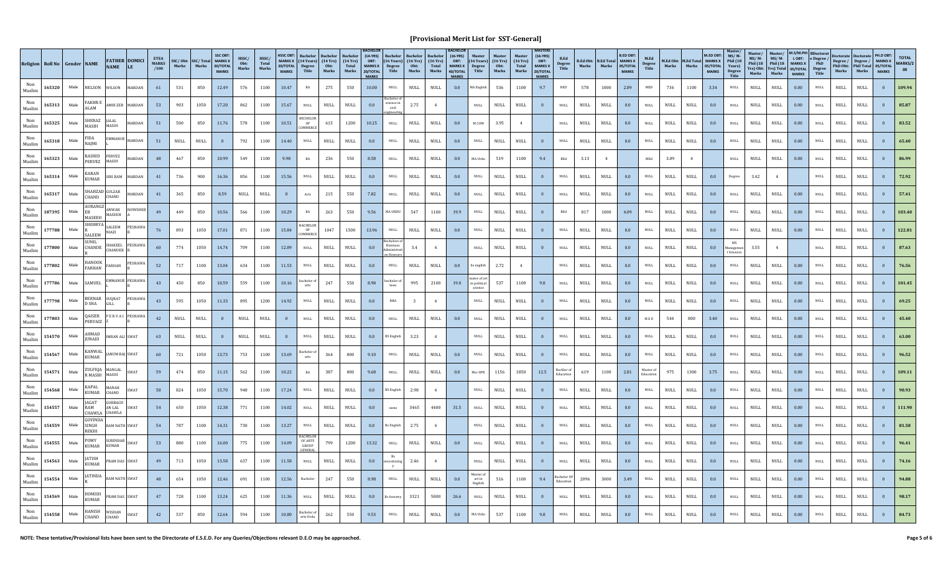|               | Religion Roll No Gender NAME |      |                              | <b>NAME</b>                        | <b>FATHER DOMICI</b><br>LE | <b>ETEA</b><br><b>MARKS</b><br>/100 | Marks                        | SSC/Obt: SSC/Total MARKS X<br>Marks | <b>SSC OBT</b><br>20/TOTAL<br><b>MARKS</b> | HSSC/<br>Obt:<br>Marks       | HSSC/<br>Total<br>Marks | <b>HSSC OBT</b><br>20/TOTAL<br><b>MARKS</b> | MARKS X $(14 \text{ Years})$ $(14 \text{Yrs})$<br><b>Degree</b><br>Title | Obt:<br>Marks                | $(14 \text{ Yrs})$<br>Total<br>Marks | $(14-YRS)$<br>OBT:<br><b>MARKS X</b><br>20/TOTAL<br><b>MARKS</b> | $(16$ Years)<br>Degree<br>Title  | <b>Bachelor</b><br>$(16 \text{ Yrs})$<br>Obt:<br>Marks | <b>Bachelo</b><br>$(16 \text{ Yrs})$<br><b>Total</b><br>Marks | $(16-YRS)$<br>OBT:<br><b>MARKS X</b><br>40/TOTAL<br><b>MARKS</b> | <b>Degree</b><br>Title        | <b>Master</b><br>$(16 \text{ Years})$ $(16 \text{Yrs})$<br>Obt:<br>Marks | <b>Master</b><br>$(16 \text{ Yrs})$<br>Total<br>Marks | $(16-YRS)$<br>OBT:<br><b>MARKS X</b><br>20/TOTAL<br><b>MARKS</b> | <b>B.Ed</b><br>Degree<br>Title | Marks                        | <b>B.Ed Obt: B.Ed Total MARKS X</b><br>Marks | <b>B.ED OBT</b><br>05/TOTAL<br><b>MARKS</b> | M.Ed<br>Degree<br>Title      | Marks                        | M.Ed Obt: M.Ed Total MARKS X<br>Marks | M.FD OBT:<br>05/TOTAL<br><b>MARKS</b> | $MS/M$ -<br>Phil (18<br>Years)<br>Degree<br>Title | Master/<br>$MS/M$ -<br>Phil $(18)$<br>Marks | <b>Master</b><br>$MS/M$ -<br>Phil $(18)$<br>Yrs) Obt: Yrs) Total 05/TOTAL<br>Marks | <b>M.S/M.PI</b><br>LOBT:<br>MARKS X<br><b>MARKS</b> | <b>BDoctorat</b><br>e Degree $/$ PhD<br>$\begin{array}{c} \textbf{Degree} \\ \textbf{Title} \end{array}$ | Degree / Degree / MARKS X<br>PhD Obt: PhD Total 05/TOTAL<br>Marks | Marks                        | PH.D OBT:<br><b>MARKS</b> | <b>TOTAL</b><br>MARKS/2<br>00 |
|---------------|------------------------------|------|------------------------------|------------------------------------|----------------------------|-------------------------------------|------------------------------|-------------------------------------|--------------------------------------------|------------------------------|-------------------------|---------------------------------------------|--------------------------------------------------------------------------|------------------------------|--------------------------------------|------------------------------------------------------------------|----------------------------------|--------------------------------------------------------|---------------------------------------------------------------|------------------------------------------------------------------|-------------------------------|--------------------------------------------------------------------------|-------------------------------------------------------|------------------------------------------------------------------|--------------------------------|------------------------------|----------------------------------------------|---------------------------------------------|------------------------------|------------------------------|---------------------------------------|---------------------------------------|---------------------------------------------------|---------------------------------------------|------------------------------------------------------------------------------------|-----------------------------------------------------|----------------------------------------------------------------------------------------------------------|-------------------------------------------------------------------|------------------------------|---------------------------|-------------------------------|
| Muslim        | 165320                       | Male | NELSON                       | WILSON                             | MARDAN                     | 61                                  | 531                          | 850                                 | 12.49                                      | 576                          | 1100                    | 10.47                                       | BA                                                                       | 275                          | 550                                  | 10.00                                                            | <b>NULL</b>                      | <b>NULL</b>                                            | $\ensuremath{\mathsf{NULL}}$                                  | 0.0                                                              | MA English                    | 536                                                                      | 1100                                                  | 9.7                                                              | BED                            | 578                          | 1000                                         | 2.89                                        | MED                          | 734                          | 1100                                  | 3.34                                  | $\mathop{\rm NULL}$                               | $\ensuremath{\mathsf{NULL}}$                | <b>NULL</b>                                                                        | 0.00                                                | NULL                                                                                                     | $\mathop{\rm NULL}$                                               | <b>NULL</b>                  | $\mathbf{0}$              | 109.94                        |
| Muslim        | 165313                       | Male | <b>FAKHR E</b><br>LAM        |                                    | AMIR ZEB MARDAN            | 53                                  | 903                          | 1050                                | 17.20                                      | 862                          | 1100                    | 15.67                                       | $\ensuremath{\mathsf{NULL}}$                                             | $\ensuremath{\mathsf{NULL}}$ | NULL                                 | 0.0                                                              | achelor e<br>science in<br>civil | 2.75                                                   | $\overline{4}$                                                |                                                                  | <b>NULL</b>                   | <b>NULL</b>                                                              | <b>NULL</b>                                           | $\mathbf{0}$                                                     | $\ensuremath{\mathsf{NULL}}$   | $\ensuremath{\mathsf{NULL}}$ | NULL                                         | 0.0                                         | $\rm NULL$                   | $\ensuremath{\mathsf{NULL}}$ | <b>NULL</b>                           | 0.0                                   | $\ensuremath{\mathsf{NULL}}$                      | <b>NULL</b>                                 | <b>NULL</b>                                                                        | 0.00                                                | $\mbox{NULL}$                                                                                            | <b>NULL</b>                                                       | <b>NULL</b>                  |                           | 85.87                         |
| Non<br>Muslim | 165325                       | Male | SHERAZ<br>MASIH              | <b>JALAI</b><br>MASIH              | <b>IARDAN</b>              | 51                                  | 500                          | 850                                 | 11.76                                      | 578                          | 1100                    | 10.51                                       | <b>BECHELO</b><br>OF<br>COMMERCE                                         | 615                          | 1200                                 | 10.25                                                            | <b>NULL</b>                      | <b>NULL</b>                                            | <b>NULL</b>                                                   | 0.0                                                              | M COM                         | 3.95                                                                     | $\overline{4}$                                        |                                                                  | $\mbox{NULL}$                  | <b>NULL</b>                  | $\ensuremath{\mathsf{NULL}}$                 | 0.0                                         | <b>NULL</b>                  | NULL                         | <b>NULL</b>                           | 0.0                                   | $\ensuremath{\mathsf{NULL}}$                      | <b>NULL</b>                                 | <b>NULL</b>                                                                        | 0.00                                                | <b>NULL</b>                                                                                              | <b>NULL</b>                                                       | <b>NULL</b>                  |                           | 83.52                         |
| Non<br>Muslim | 165318                       | Male | <b>FIDA</b><br>NAJMI         | EMMANUE                            | MARDAN                     | 51                                  | $\ensuremath{\mathsf{NULL}}$ | NULL                                | $\bf{0}$                                   | 792                          | 1100                    | 14.40                                       | <b>NULL</b>                                                              | $\ensuremath{\mathsf{NULL}}$ | NULL                                 | 0.0                                                              | <b>NULL</b>                      | $\ensuremath{\mathsf{NULL}}$                           | $\ensuremath{\mathsf{NULL}}$                                  | 0.0                                                              | <b>NULL</b>                   | <b>NULL</b>                                                              | <b>NULL</b>                                           |                                                                  | <b>NULL</b>                    | NULL                         | $\ensuremath{\mathsf{NULL}}$                 | 0.0                                         | <b>NULL</b>                  | $\ensuremath{\mathsf{NULL}}$ | $\mathop{\rm NULL}$                   | 0.0                                   | <b>NULL</b>                                       | NULL                                        | $\ensuremath{\mathsf{NULL}}$                                                       | 0.00                                                | <b>NULL</b>                                                                                              | NULL                                                              | <b>NULL</b>                  |                           | 65.40                         |
| Muslim        | 165323                       | Male | RASHID<br>PERVEZ             | PERVEZ<br><b>ASIH</b>              | MARDAN                     | 48                                  | 467                          | 850                                 | 10.99                                      | 549                          | 1100                    | 9.98                                        | $_{\rm BA}$                                                              | 236                          | 550                                  | 8.58                                                             | <b>NULL</b>                      | <b>NULL</b>                                            | <b>NULL</b>                                                   | 0.0                                                              | MA Urdu                       | 519                                                                      | 1100                                                  | $\rm 9.4$                                                        | BEd                            | 3.13                         | $\overline{4}$                               |                                             | $_{\rm MEd}$                 | 3.09                         | $\overline{4}$                        |                                       | <b>NULL</b>                                       | <b>NULL</b>                                 | $\ensuremath{\mathsf{NULL}}$                                                       | 0.00                                                | <b>NULL</b>                                                                                              | NULL                                                              | <b>NULL</b>                  |                           | 86.99                         |
| Muslim        | 165314                       | Male | KARAN<br><b>KIJMAR</b>       | SIRI RAM                           | MARDAN                     | 41                                  | 736                          | 900                                 | 16.36                                      | 856                          | 1100                    | 15.56                                       | $\mathop{\rm NULL}$                                                      | $\ensuremath{\mathsf{NULL}}$ | NULL                                 | 0.0                                                              | <b>NULL</b>                      | <b>NULL</b>                                            | <b>NULL</b>                                                   | 0.0                                                              | $\mathsf{NULL}$               | <b>NULL</b>                                                              | <b>NULL</b>                                           | $\bf{0}$                                                         | $\mathop{\rm NULL}$            | $\ensuremath{\mathsf{NULL}}$ | NULL                                         | 0.0                                         | $\mathop{\rm NULL}$          | NULL                         | <b>NULL</b>                           | 0.0                                   | Degree                                            | 3.42                                        | 4                                                                                  |                                                     | NULL                                                                                                     | NULL                                                              | <b>NULL</b>                  |                           | 72.92                         |
| Muslim        | 165317                       | Male | CHAND                        | SHAHZAD GULZAR<br>CHAND            | MARDAN                     | 41                                  | 365                          | 850                                 | 8.59                                       | <b>NULL</b>                  | <b>NULL</b>             | $\overline{0}$                              | Arts                                                                     | 215                          | 550                                  | 7.82                                                             | $\mathop{\rm NULL}$              | <b>NULL</b>                                            | <b>NULL</b>                                                   | 0.0                                                              | NULL                          | <b>NULL</b>                                                              | <b>NULL</b>                                           |                                                                  | $\ensuremath{\mathsf{NULL}}$   | <b>NULL</b>                  | $\mathop{\rm NULL}$                          | 0.0                                         | $\rm NULL$                   | NULL                         | <b>NULL</b>                           | 0.0                                   | $\ensuremath{\mathsf{NULL}}$                      | <b>NULL</b>                                 | <b>NULL</b>                                                                        | 0.00                                                | $\mbox{NULL}$                                                                                            | <b>NULL</b>                                                       | <b>NULL</b>                  |                           | 57.41                         |
| Non<br>Muslim | 187395                       | Male | AURANGZ<br><b>MASEEH</b>     | ANWAR<br>MASEEH                    | <b>JOWSHER</b>             | 49                                  | 449                          | 850                                 | 10.56                                      | 566                          | 1100                    | 10.29                                       | BA                                                                       | 263                          | 550                                  | 9.56                                                             | MA URDU                          | 547                                                    | 1100                                                          | 19.9                                                             | NULL                          | <b>NULL</b>                                                              | <b>NULL</b>                                           | $\mathbf{0}$                                                     | BEd                            | 817                          | 1000                                         | 4.09                                        | <b>NULL</b>                  | NULL                         | <b>NULL</b>                           | 0.0                                   | <b>NULL</b>                                       | <b>NULL</b>                                 | $\ensuremath{\mathsf{NULL}}$                                                       | 0.00                                                | <b>NULL</b>                                                                                              | <b>NULL</b>                                                       | $\ensuremath{\mathsf{NULL}}$ |                           | 103.40                        |
| Non<br>Muslim | 177788                       | Male | SHEHRYA<br><b>SALEEM</b>     | <b>SALEEM</b><br>NIAZI             | PESHAWA                    | 76                                  | 893                          | 1050                                | 17.01                                      | 871                          | 1100                    | 15.84                                       | <b>BACHELOR</b><br>OF<br>OMMERCE                                         | 1047                         | 1500                                 | 13.96                                                            | <b>NULL</b>                      | <b>NULL</b>                                            | <b>NULL</b>                                                   | 0.0                                                              | $\mathsf{NULL}$               | <b>NULL</b>                                                              | <b>NULL</b>                                           |                                                                  | <b>NULL</b>                    | $\ensuremath{\mathsf{NULL}}$ | <b>NULL</b>                                  | 0.0                                         | NULL                         | NULL                         | <b>NULL</b>                           | 0.0                                   | <b>NULL</b>                                       | NULL                                        | <b>NULL</b>                                                                        | 0.00                                                | $\mbox{NULL}$                                                                                            | NULL                                                              | <b>NULL</b>                  |                           | 122.81                        |
| Muslim        | 177800                       | Male | SUNII.<br>CHANDE             | HAKEEL<br><b>HANDER</b>            | PESHAWA                    | 60                                  | 774                          | 1050                                | 14.74                                      | 709                          | 1100                    | 12.89                                       | <b>NULL</b>                                                              | $\ensuremath{\mathsf{NULL}}$ | $\rm NULL$                           | 0.0                                                              | <b>Busines:</b>                  | 3.4                                                    | $\overline{4}$                                                |                                                                  | <b>NULL</b>                   | <b>NULL</b>                                                              | $\ensuremath{\mathsf{NULL}}$                          | $\overline{0}$                                                   | <b>NULL</b>                    | $\ensuremath{\mathsf{NULL}}$ | $\ensuremath{\mathsf{NULL}}$                 | 0.0                                         | <b>NULL</b>                  | $\ensuremath{\mathsf{NULL}}$ | $\mbox{NULL}$                         | 0.0                                   | MS<br>Managemer<br>t Sciences                     | 3.55                                        | 4                                                                                  |                                                     | <b>NULL</b>                                                                                              | $\mathop{\rm NULL}$                                               | <b>NULL</b>                  |                           | 87.63                         |
| Muslim        | 177802                       | Male | HANOOK<br>FARHAN             | FARHAN                             | PESHAWA                    | 52                                  | 717                          | 1100                                | 13.04                                      | 634                          | 1100                    | 11.53                                       | $\mathop{\rm NULL}$                                                      | $\ensuremath{\mathsf{NULL}}$ | $\ensuremath{\mathsf{NULL}}$         | 0.0                                                              | $\mathop{\rm NULL}$              | <b>NULL</b>                                            | $\ensuremath{\mathsf{NULL}}$                                  | 0.0                                                              | bs english                    | 2.72                                                                     | 4                                                     |                                                                  | $\mbox{NULL}$                  | $\ensuremath{\mathsf{NULL}}$ | $\ensuremath{\mathsf{NULL}}$                 | 0.0                                         | $\ensuremath{\mathsf{NULL}}$ | $\ensuremath{\mathsf{NULL}}$ | $\mathop{\rm NULL}$                   | 0.0                                   | $\mathop{\rm NULL}$                               | <b>NULL</b>                                 | $\ensuremath{\mathsf{NULL}}$                                                       | 0.00                                                | $\mbox{NULL}$                                                                                            | NULL                                                              | <b>NULL</b>                  |                           | 76.56                         |
| Muslim        | 177786                       | Male | SAMUEL                       |                                    | <b>MMANUE PESHAWA</b>      | 43                                  | 450                          | 850                                 | 10.59                                      | 559                          | 1100                    | 10.16                                       | achelor c<br>arts                                                        | 247                          | 550                                  | 8.98                                                             | echelor o<br>laws                | 995                                                    | 2100                                                          | 19.0                                                             | ater of ar<br>in politica     | 537                                                                      | 1100                                                  | 9.8                                                              | $\mathop{\rm NULL}$            | <b>NULL</b>                  | NULL                                         | 0.0                                         | <b>NULL</b>                  | NULL                         | <b>NULL</b>                           | 0.0                                   | $\ensuremath{\mathsf{NULL}}$                      | <b>NULL</b>                                 | <b>NULL</b>                                                                        | 0.00                                                | <b>NULL</b>                                                                                              | NULL                                                              | <b>NULL</b>                  |                           | 101.45                        |
| Non<br>Muslim | 177798                       | Male | BERNAR<br><b>SHA</b>         | <b>SUORAT</b><br>GILL              | PESHAWA                    | 43                                  | 595                          | 1050                                | 11.33                                      | 895                          | 1200                    | 14.92                                       | NULL                                                                     | <b>NULL</b>                  | NULL                                 | 0.0                                                              | $_{\rm BBA}$                     | $\overline{\mathbf{3}}$                                | $\overline{4}$                                                |                                                                  | $\mathop{\rm NULL}$           | <b>NULL</b>                                                              | <b>NULL</b>                                           | $\overline{0}$                                                   | <b>NULL</b>                    | NULL                         | NULL                                         | 0.0                                         | <b>NULL</b>                  | NULL                         | <b>NULL</b>                           | 0.0                                   | <b>NULL</b>                                       | $\ensuremath{\mathsf{NULL}}$                | $\ensuremath{\mathsf{NULL}}$                                                       | 0.00                                                | <b>NULL</b>                                                                                              | NULL                                                              | <b>NULL</b>                  |                           | 69.25                         |
| Non<br>Muslim | 177803                       | Male | QAISER<br><b>ERVAIZ</b>      |                                    | PERVAI PESHAWA             | 42                                  | $\ensuremath{\mathsf{NULL}}$ | $\ensuremath{\mathsf{NULL}}$        | $\bf{0}$                                   | $\ensuremath{\mathsf{NULL}}$ | <b>NULL</b>             | $\bf{0}$                                    | NULL                                                                     | $\ensuremath{\mathsf{NULL}}$ | NULL                                 | 0.0                                                              | <b>NULL</b>                      | <b>NULL</b>                                            | $\ensuremath{\mathsf{NULL}}$                                  | 0.0                                                              | $\ensuremath{\mathsf{NULL}}$  | $\ensuremath{\mathsf{NULL}}$                                             | $\ensuremath{\mathsf{NULL}}$                          |                                                                  | <b>NULL</b>                    | <b>NULL</b>                  | $\ensuremath{\mathsf{NULL}}$                 | 0.0                                         | $M\to D$                     | 544                          | 800                                   | 3.40                                  | NULL                                              | <b>NULL</b>                                 | $\ensuremath{\mathsf{NULL}}$                                                       | 0.00                                                | <b>NULL</b>                                                                                              | NULL                                                              | <b>NULL</b>                  |                           | 45.40                         |
| Muslim        | 154570                       | Male | <b>HMAD</b><br><b>IINAID</b> | MRAN ALI SWAT                      |                            | 63                                  | <b>NULL</b>                  | <b>NULL</b>                         | $\Omega$                                   | <b>NULL</b>                  | <b>NULL</b>             | $\mathbf{0}$                                | <b>NULL</b>                                                              | <b>NULL</b>                  | <b>NULL</b>                          | 0.0                                                              | <b>BS</b> English                | 3.23                                                   | $\overline{4}$                                                |                                                                  | <b>NULL</b>                   | NULL                                                                     | NULL                                                  | $\overline{0}$                                                   | <b>NULL</b>                    | <b>NULL</b>                  | $\ensuremath{\mathsf{NULL}}$                 | 0.0                                         | <b>NULL</b>                  | NULL                         | <b>NULL</b>                           | 0.0                                   | <b>NULL</b>                                       | NULL                                        | <b>NULL</b>                                                                        | 0.00                                                | <b>NULL</b>                                                                                              | NULL                                                              | <b>NULL</b>                  |                           | 63.00                         |
| Muslim        | 154567                       | Male | KANWAL<br><b>KUMAR</b>       | ANUM RAJ SWAT                      |                            | 60                                  | 721                          | 1050                                | 13.73                                      | 753                          | 1100                    | 13.69                                       | Bachelor of<br>arts                                                      | 364                          | 800                                  | 9.10                                                             | $\rm NULL$                       | <b>NULL</b>                                            | <b>NULL</b>                                                   | 0.0                                                              | $\mathop{\rm NULL}$           | <b>NULL</b>                                                              | <b>NULL</b>                                           | $\overline{0}$                                                   | $\mathop{\rm NULL}$            | <b>NULL</b>                  | NULL                                         | 0.0                                         | $\mathop{\rm NULL}$          | <b>NULL</b>                  | <b>NULL</b>                           | 0.0                                   | $\mathop{\rm NULL}$                               | NULL                                        | $\ensuremath{\mathsf{NULL}}$                                                       | 0.00                                                | $\mbox{NULL}$                                                                                            | NULL                                                              | <b>NULL</b>                  |                           | 96.52                         |
| Muslim        | 154571                       | Male | ZULFIQA<br><b>MASIH</b>      | MANGAL<br>MASIH                    | SWAT                       | 59                                  | 474                          | 850                                 | 11.15                                      | 562                          | 1100                    | 10.22                                       | BA                                                                       | 387                          | 800                                  | 9.68                                                             | <b>NULL</b>                      | <b>NULL</b>                                            | $\ensuremath{\mathsf{NULL}}$                                  | $0.0\,$                                                          | Msc HPE                       | 1156                                                                     | 1850                                                  | 12.5                                                             | 3achlor<br>ducatio             | 619                          | 1100                                         | 2.81                                        | Education                    | 975                          | 1300                                  | 3.75                                  | $\ensuremath{\mathsf{NULL}}$                      | <b>NULL</b>                                 | $\ensuremath{\mathsf{NULL}}$                                                       | 0.00                                                | <b>NULL</b>                                                                                              | NULL                                                              | $\ensuremath{\mathsf{NULL}}$ |                           | 109.11                        |
| Non<br>Muslim | 154568                       | Male | KAPAL<br>KUMAR               | MANAK<br>CHAND                     | SWAT                       | 58                                  | 824                          | 1050                                | 15.70                                      | 948                          | 1100                    | 17.24                                       | NULL                                                                     | <b>NULL</b>                  | NULL                                 | 0.0                                                              | <b>BS</b> English                | 2.98                                                   | $\overline{4}$                                                |                                                                  | <b>NULL</b>                   | NULL                                                                     | <b>NULL</b>                                           | $\bf{0}$                                                         | <b>NULL</b>                    | NULL                         | NULL                                         | 0.0                                         | <b>NULL</b>                  | NULL                         | NULL                                  | 0.0                                   | <b>NULL</b>                                       | <b>NULL</b>                                 | <b>NULL</b>                                                                        | 0.00                                                | <b>NULL</b>                                                                                              | NULL                                                              | <b>NULL</b>                  |                           |                               |
| Non<br>Muslim | 154557                       | Male | JAGAT<br>RAM<br>CHAWLA       | <b>GURBACH</b><br>AN LAL<br>CHAWLA | SWAT                       | 54                                  | 650                          | 1050                                | 12.38                                      | 771                          | 1100                    | 14.02                                       | <b>NULL</b>                                                              | NULL                         | $\ensuremath{\mathsf{NULL}}$         | 0.0                                                              |                                  | 3465                                                   | 4400                                                          | $31.5\,$                                                         | $\mathop{\rm NULL}$           | $\rm NULL$                                                               | <b>NULL</b>                                           |                                                                  | <b>NULL</b>                    | <b>NULL</b>                  | $\ensuremath{\mathsf{NULL}}$                 | 0.0                                         | NULL                         | $\ensuremath{\mathsf{NULL}}$ | <b>NULL</b>                           | 0.0                                   | <b>NULL</b>                                       | <b>NULL</b>                                 | $\ensuremath{\mathsf{NULL}}$                                                       | 0.00                                                | $\mbox{NULL}$                                                                                            | $\ensuremath{\mathsf{NULL}}$                                      | <b>NULL</b>                  |                           | 111.90                        |
| Muslim        | 154559                       | Male | GOVINDA<br>SINGH<br>REKHI    | <b>RAM NATH SWAT</b>               |                            | 54                                  | 787                          | 1100                                | 14.31                                      | 730                          | 1100                    | 13.27                                       | NULL                                                                     | $\ensuremath{\mathsf{NULL}}$ | NULL                                 | 0.0                                                              | <b>Bs</b> English                | 2.75                                                   | $\overline{4}$                                                |                                                                  | <b>NULL</b>                   | <b>NULL</b>                                                              | <b>NULL</b>                                           |                                                                  | $\ensuremath{\mathsf{NULL}}$   | $\ensuremath{\mathsf{NULL}}$ | $\ensuremath{\mathsf{NULL}}$                 | 0.0                                         | <b>NULL</b>                  | NULL                         | <b>NULL</b>                           | 0.0                                   | <b>NULL</b>                                       | <b>NULL</b>                                 | <b>NULL</b>                                                                        | 0.00                                                | <b>NULL</b>                                                                                              | <b>NULL</b>                                                       | <b>NULL</b>                  |                           | 81.58                         |
| Non<br>Muslim | 154555                       | Male | POMY<br><b>KUMAR</b>         | <b>IIRINDAR</b><br>KUMAR           | SWAT                       | 53                                  | 880                          | 1100                                | 16.00                                      | 775                          | 1100                    | 14.09                                       | OF ARTS<br>GROUP<br>GENERAL                                              | 799                          | 1200                                 | 13.32                                                            | $\mbox{NULL}$                    | <b>NULL</b>                                            | $\ensuremath{\mathsf{NULL}}$                                  | 0.0                                                              | $\mathsf{NULL}$               | $\ensuremath{\mathsf{NULL}}$                                             | <b>NULL</b>                                           | $\overline{0}$                                                   | $_{\rm NULL}$                  | $\ensuremath{\mathsf{NULL}}$ | $\ensuremath{\mathsf{NULL}}$                 | 0.0                                         | $\mbox{NULL}$                | $\ensuremath{\mathsf{NULL}}$ | $\mathop{\rm NULL}$                   | 0.0                                   | $_{\rm NULL}$                                     | $\ensuremath{\mathsf{NULL}}$                | <b>NULL</b>                                                                        | 0.00                                                | $\mbox{NULL}$                                                                                            | NULL                                                              | <b>NULL</b>                  |                           | 96.41                         |
| Muslim        | 154563                       | Male | <b>ATISH</b><br><b>IIMAR</b> | RAM DAS SWAT                       |                            | 49                                  | 713                          | 1050                                | 13.58                                      | 637                          | 1100                    | 11.58                                       | $\mathop{\rm NULL}$                                                      | NULL                         | $\rm NULL$                           | 0.0                                                              | icrobiolo                        | 2.46                                                   | $\overline{4}$                                                |                                                                  | $\mathop{\rm NULL}$           | <b>NULL</b>                                                              | <b>NULL</b>                                           | $\overline{0}$                                                   | $\mathop{\rm NULL}$            | <b>NULL</b>                  | <b>NULL</b>                                  | 0.0                                         | <b>NULL</b>                  | <b>NULL</b>                  | <b>NULL</b>                           | 0.0                                   | $\ensuremath{\mathsf{NULL}}$                      | <b>NULL</b>                                 | <b>NULL</b>                                                                        | 0.00                                                | $\mbox{NULL}$                                                                                            | <b>NULL</b>                                                       | <b>NULL</b>                  |                           | 74.16                         |
| Non<br>Muslim | 154554                       | Male | JATINDA                      | <b>RAM NATH SWAT</b>               |                            | 48                                  | 654                          | 1050                                | 12.46                                      | 691                          | 1100                    | 12.56                                       | Bachelor                                                                 | 247                          | 550                                  | 8.98                                                             | <b>NULL</b>                      | <b>NULL</b>                                            | $\ensuremath{\mathsf{NULL}}$                                  | 0.0                                                              | Master o<br>art in<br>English | 516                                                                      | 1100                                                  | 9.4                                                              | Educatio                       | 2096                         | 3000                                         | 3.49                                        | NULL                         | $\ensuremath{\mathsf{NULL}}$ | NULL                                  | 0.0                                   | <b>NULL</b>                                       | <b>NULL</b>                                 | $\ensuremath{\mathsf{NULL}}$                                                       | 0.00                                                | <b>NULL</b>                                                                                              | $\ensuremath{\mathsf{NULL}}$                                      | <b>NULL</b>                  |                           |                               |
| Muslim        | 154569                       | Male | OMISH<br>KIIMAR              | PRAM DAS SWAT                      |                            | 47                                  | 728                          | 1100                                | 13.24                                      | 625                          | 1100                    | 11.36                                       | NULL                                                                     | <b>NULL</b>                  | <b>NULL</b>                          | 0.0                                                              |                                  | 3321                                                   | 5000                                                          | 26.6                                                             | NULL                          | NULL                                                                     | <b>NULL</b>                                           |                                                                  | $\mathop{\rm NULL}$            | <b>NULL</b>                  | $\ensuremath{\mathsf{NULL}}$                 | 0.0                                         | <b>NULL</b>                  | NULL                         | <b>NULL</b>                           | 0.0                                   | $\mbox{NULL}$                                     | NULL                                        | <b>NULL</b>                                                                        | 0.00                                                | $\mbox{NULL}$                                                                                            | <b>NULL</b>                                                       | <b>NULL</b>                  |                           | 98.17                         |
| Muslim        | 154558                       | Male | HANISH<br>CHAND              | WISHAN<br><b>HAND</b>              |                            | 42                                  | 537                          | 850                                 | 12.64                                      | 594                          | 1100                    | 10.80                                       | Rachelor c                                                               | 262                          | 550                                  | 9.53                                                             | <b>NULL</b>                      | <b>NULL</b>                                            | <b>NULL</b>                                                   | 0.0                                                              | MA Urdu                       | 537                                                                      | 1100                                                  | 9.8                                                              | <b>NULL</b>                    | <b>NULL</b>                  | <b>NULL</b>                                  | 0.0                                         |                              | NULL.                        | NULI                                  |                                       | <b>NULL</b>                                       | NULL.                                       | <b>NULL</b>                                                                        | 0.00                                                | <b>NULL</b>                                                                                              | <b>NULL</b>                                                       | <b>NULL</b>                  |                           |                               |